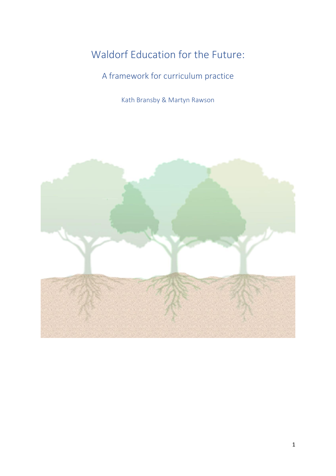# Waldorf Education for the Future:

# A framework for curriculum practice

Kath Bransby & Martyn Rawson

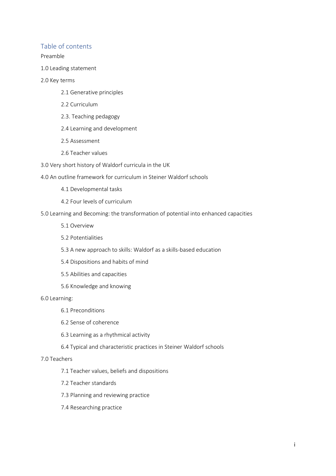# Table of contents

Preamble

1.0 Leading statement

#### 2.0 Key terms

- 2.1 Generative principles
- 2.2 Curriculum
- 2.3. Teaching pedagogy
- 2.4 Learning and development
- 2.5 Assessment
- 2.6 Teacher values
- 3.0 Very short history of Waldorf curricula in the UK

4.0 An outline framework for curriculum in Steiner Waldorf schools

- 4.1 Developmental tasks
- 4.2 Four levels of curriculum
- 5.0 Learning and Becoming: the transformation of potential into enhanced capacities
	- 5.1 Overview
	- 5.2 Potentialities
	- 5.3 A new approach to skills: Waldorf as a skills-based education
	- 5.4 Dispositions and habits of mind
	- 5.5 Abilities and capacities
	- 5.6 Knowledge and knowing

#### 6.0 Learning:

- 6.1 Preconditions
- 6.2 Sense of coherence
- 6.3 Learning as a rhythmical activity
- 6.4 Typical and characteristic practices in Steiner Waldorf schools

#### 7.0 Teachers

- 7.1 Teacher values, beliefs and dispositions
- 7.2 Teacher standards
- 7.3 Planning and reviewing practice
- 7.4 Researching practice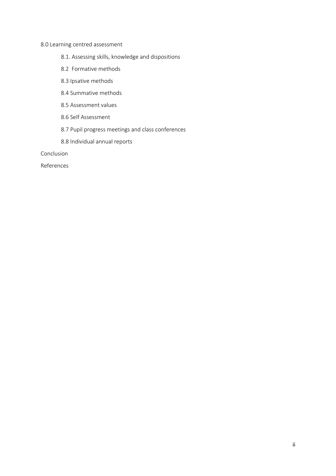# 8.0 Learning centred assessment

- 8.1. Assessing skills, knowledge and dispositions
- 8.2 Formative methods
- 8.3 Ipsative methods
- 8.4 Summative methods
- 8.5 Assessment values
- 8.6 Self Assessment
- 8.7 Pupil progress meetings and class conferences
- 8.8 Individual annual reports

Conclusion

References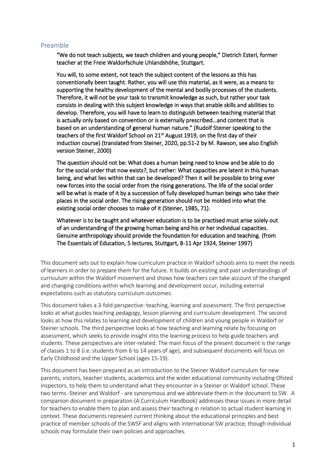### Preamble

"We do not teach subjects, we teach children and young people," Dietrich Esterl, former teacher at the Freie Waldorfschule Uhlandshöhe, Stuttgart.

You will, to some extent, not teach the subject content of the lessons as this has conventionally been taught. Rather, you will use this material, as it were, as a means to supporting the healthy development of the mental and bodily processes of the students. Therefore, it will not be your task to transmit knowledge as such, but rather your task consists in dealing with this subject knowledge in ways that enable skills and abilities to develop. Therefore, you will have to learn to distinguish between teaching material that is actually only based on convention or is externally prescribed…and content that is based on an understanding of general human nature." (Rudolf Steiner speaking to the teachers of the first Waldorf School on 21<sup>st</sup> August 1919, on the first day of their induction course) (translated from Steiner, 2020, pp.51-2 by M. Rawson, see also English version Steiner, 2000)

The question should not be: What does a human being need to know and be able to do for the social order that now exists?, but rather: What capacities are latent in this human being, and what lies within that can be developed? Then it will be possible to bring ever new forces into the social order from the rising generations. The life of the social order will be what is made of it by a succession of fully developed human beings who take their places in the social order. The rising generation should not be molded into what the existing social order chooses to make of it (Steiner, 1985, 71).

Whatever is to be taught and whatever education is to be practised must arise solely out of an understanding of the growing human being and his or her individual capacities. Genuine anthropology should provide the foundation for education and teaching. (from The Essentials of Education, 5 lectures, Stuttgart, 8-11 Apr 1924, Steiner 1997)

This document sets out to explain how curriculum practice in Waldorf schools aims to meet the needs of learners in order to prepare them for the future. It builds on existing and past understandings of curriculum within the Waldorf movement and shows how teachers can take account of the changed and changing conditions within which learning and development occur, including external expectations such as statutory curriculum outcomes.

This document takes a 3-fold perspective: teaching, learning and assessment. The first perspective looks at what guides teaching pedagogy, lesson planning and curriculum development. The second looks at how this relates to learning and development of children and young people in Waldorf or Steiner schools. The third perspective looks at how teaching and learning relate by focusing on assessment, which seeks to provide insight into the learning process to help guide teachers and students. These perspectives are inter-related. The main focus of the present document is the range of classes 1 to 8 (i.e. students from 6 to 14 years of age), and subsequent documents will focus on Early Childhood and the Upper School (ages 15-19).

This document has been prepared as an introduction to the Steiner Waldorf curriculum for new parents, visitors, teacher students, academics and the wider educational community including Ofsted inspectors, to help them to understand what they encounter in a Steiner or Waldorf school. These two terms -Steiner and Waldorf - are synonymous and we abbreviate them in the document to SW. A companion document in preparation (A Curriculum Handbook) addresses these issues in more detail for teachers to enable them to plan and assess their teaching in relation to actual student learning in context. These documents represent current thinking about the educational principles and best practice of member schools of the SWSF and aligns with international SW practice, though individual schools may formulate their own policies and approaches.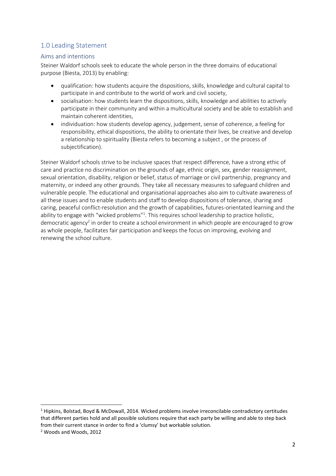# 1.0 Leading Statement

### Aims and intentions

Steiner Waldorf schools seek to educate the whole person in the three domains of educational purpose (Biesta, 2013) by enabling:

- qualification: how students acquire the dispositions, skills, knowledge and cultural capital to participate in and contribute to the world of work and civil society,
- socialisation: how students learn the dispositions, skills, knowledge and abilities to actively participate in their community and within a multicultural society and be able to establish and maintain coherent identities,
- individuation: how students develop agency, judgement, sense of coherence, a feeling for responsibility, ethical dispositions, the ability to orientate their lives, be creative and develop a relationship to spirituality (Biesta refers to becoming a subject , or the process of subjectification).

Steiner Waldorf schools strive to be inclusive spaces that respect difference, have a strong ethic of care and practice no discrimination on the grounds of age, ethnic origin, sex, gender reassignment, sexual orientation, disability, religion or belief, status of marriage or civil partnership, pregnancy and maternity, or indeed any other grounds. They take all necessary measures to safeguard children and vulnerable people. The educational and organisational approaches also aim to cultivate awareness of all these issues and to enable students and staff to develop dispositions of tolerance, sharing and caring, peaceful conflict-resolution and the growth of capabilities, futures-orientated learning and the ability to engage with "wicked problems"<sup>1</sup>. This requires school leadership to practice holistic, democratic agency<sup>2</sup> in order to create a school environment in which people are encouraged to grow as whole people, facilitates fair participation and keeps the focus on improving, evolving and renewing the school culture.

<sup>1</sup> Hipkins, Bolstad, Boyd & McDowall, 2014. Wicked problems involve irreconcilable contradictory certitudes that different parties hold and all possible solutions require that each party be willing and able to step back from their current stance in order to find a 'clumsy' but workable solution.

<sup>2</sup> Woods and Woods, 2012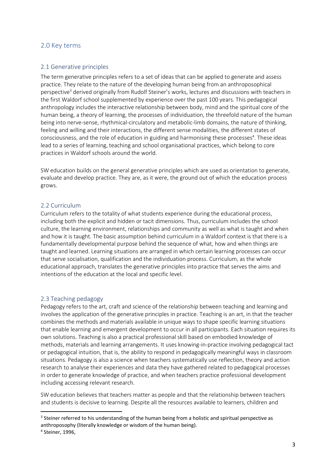### 2.0 Key terms

#### 2.1 Generative principles

The term generative principles refers to a set of ideas that can be applied to generate and assess practice. They relate to the nature of the developing human being from an anthroposophical perspective<sup>3</sup> derived originally from Rudolf Steiner's works, lectures and discussions with teachers in the first Waldorf school supplemented by experience over the past 100 years. This pedagogical anthropology includes the interactive relationship between body, mind and the spiritual core of the human being, a theory of learning, the processes of individuation, the threefold nature of the human being into nerve-sense, rhythmical-circulatory and metabolic-limb domains, the nature of thinking, feeling and willing and their interactions, the different sense modalities, the different states of consciousness, and the role of education in guiding and harmonising these processes<sup>4</sup>. These ideas lead to a series of learning, teaching and school organisational practices, which belong to core practices in Waldorf schools around the world.

SW education builds on the general generative principles which are used as orientation to generate, evaluate and develop practice. They are, as it were, the ground out of which the education process grows.

#### 2.2 Curriculum

Curriculum refers to the totality of what students experience during the educational process, including both the explicit and hidden or tacit dimensions. Thus, curriculum includes the school culture, the learning environment, relationships and community as well as what is taught and when and how it is taught. The basic assumption behind curriculum in a Waldorf context is that there is a fundamentally developmental purpose behind the sequence of what, how and when things are taught and learned. Learning situations are arranged in which certain learning processes can occur that serve socialisation, qualification and the individuation process. Curriculum, as the whole educational approach, translates the generative principles into practice that serves the aims and intentions of the education at the local and specific level.

#### 2.3 Teaching pedagogy

Pedagogy refers to the art, craft and science of the relationship between teaching and learning and involves the application of the generative principles in practice. Teaching is an art, in that the teacher combines the methods and materials available in unique ways to shape specific learning situations that enable learning and emergent development to occur in all participants. Each situation requires its own solutions. Teaching is also a practical professional skill based on embodied knowledge of methods, materials and learning arrangements. It uses knowing-in-practice involving pedagogical tact or pedagogical intuition, that is, the ability to respond in pedagogically meaningful ways in classroom situations. Pedagogy is also a science when teachers systematically use reflection, theory and action research to analyse their experiences and data they have gathered related to pedagogical processes in order to generate knowledge of practice, and when teachers practice professional development including accessing relevant research.

SW education believes that teachers matter as people and that the relationship between teachers and students is decisive to learning. Despite all the resources available to learners, children and

<sup>&</sup>lt;sup>3</sup> Steiner referred to his understanding of the human being from a holistic and spiritual perspective as anthroposophy (literally knowledge or wisdom of the human being).

<sup>4</sup> Steiner, 1996,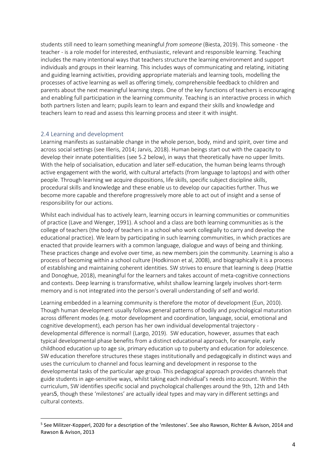students still need to learn something meaningful *from someone* (Biesta, 2019). This someone - the teacher - is a role model for interested, enthusiastic, relevant and responsible learning. Teaching includes the many intentional ways that teachers structure the learning environment and support individuals and groups in their learning. This includes ways of communicating and relating, initiating and guiding learning activities, providing appropriate materials and learning tools, modelling the processes of active learning as well as offering timely, comprehensible feedback to children and parents about the next meaningful learning steps. One of the key functions of teachers is encouraging and enabling full participation in the learning community. Teaching is an interactive process in which both partners listen and learn; pupils learn to learn and expand their skills and knowledge and teachers learn to read and assess this learning process and steer it with insight.

#### 2.4 Learning and development

Learning manifests as sustainable change in the whole person, body, mind and spirit, over time and across social settings (see Illeris, 2014; Jarvis, 2018). Human beings start out with the capacity to develop their innate potentialities (see 5.2 below), in ways that theoretically have no upper limits. With the help of socialisation, education and later self-education, the human being learns through active engagement with the world, with cultural artefacts (from language to laptops) and with other people. Through learning we acquire dispositions, life skills, specific subject discipline skills, procedural skills and knowledge and these enable us to develop our capacities further. Thus we become more capable and therefore progressively more able to act out of insight and a sense of responsibility for our actions.

Whilst each individual has to actively learn, learning occurs in learning communities or communities of practice (Lave and Wenger, 1991). A school and a class are both learning communities as is the college of teachers (the body of teachers in a school who work collegially to carry and develop the educational practice). We learn by participating in such learning communities, in which practices are enacted that provide learners with a common language, dialogue and ways of being and thinking. These practices change and evolve over time, as new members join the community. Learning is also a process of becoming within a school culture (Hodkinson et al, 2008), and biographically it is a process of establishing and maintaining coherent identities. SW strives to ensure that learning is deep (Hattie and Donoghue, 2018), meaningful for the learners and takes account of meta-cognitive connections and contexts. Deep learning is transformative, whilst shallow learning largely involves short-term memory and is not integrated into the person's overall understanding of self and world.

Learning embedded in a learning community is therefore the motor of development (Eun, 2010). Though human development usually follows general patterns of bodily and psychological maturation across different modes (e.g. motor development and coordination, language, social, emotional and cognitive development), each person has her own individual developmental trajectory developmental difference is normal! (Largo, 2019). SW education, however, assumes that each typical developmental phase benefits from a distinct educational approach, for example, early childhood education up to age six, primary education up to puberty and education for adolescence. SW education therefore structures these stages institutionally and pedagogically in distinct ways and uses the curriculum to channel and focus learning and development in response to the developmental tasks of the particular age group. This pedagogical approach provides channels that guide students in age-sensitive ways, whilst taking each individual's needs into account. Within the curriculum, SW identifies specific social and psychological challenges around the 9th, 12th and 14th years5, though these 'milestones' are actually ideal types and may vary in different settings and cultural contexts.

<sup>&</sup>lt;sup>5</sup> See Militzer-Kopperl, 2020 for a description of the 'milestones'. See also Rawson, Richter & Avison, 2014 and Rawson & Avison, 2013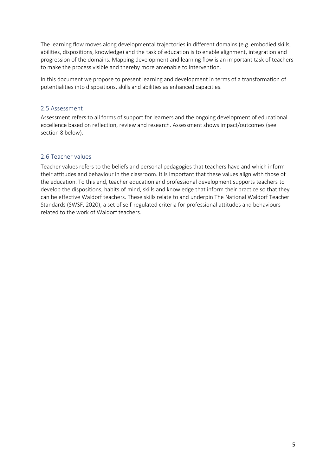The learning flow moves along developmental trajectories in different domains (e.g. embodied skills, abilities, dispositions, knowledge) and the task of education is to enable alignment, integration and progression of the domains. Mapping development and learning flow is an important task of teachers to make the process visible and thereby more amenable to intervention.

In this document we propose to present learning and development in terms of a transformation of potentialities into dispositions, skills and abilities as enhanced capacities.

### 2.5 Assessment

Assessment refers to all forms of support for learners and the ongoing development of educational excellence based on reflection, review and research. Assessment shows impact/outcomes (see section 8 below).

### 2.6 Teacher values

Teacher values refers to the beliefs and personal pedagogies that teachers have and which inform their attitudes and behaviour in the classroom. It is important that these values align with those of the education. To this end, teacher education and professional development supports teachers to develop the dispositions, habits of mind, skills and knowledge that inform their practice so that they can be effective Waldorf teachers. These skills relate to and underpin The National Waldorf Teacher Standards (SWSF, 2020), a set of self-regulated criteria for professional attitudes and behaviours related to the work of Waldorf teachers.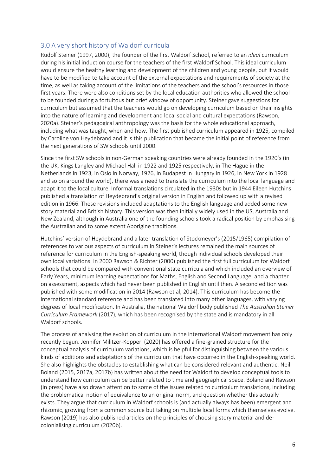# 3.0 A very short history of Waldorf curricula

Rudolf Steiner (1997, 2000), the founder of the first Waldorf School, referred to an *ideal* curriculum during his initial induction course for the teachers of the first Waldorf School. This ideal curriculum would ensure the healthy learning and development of the children and young people, but it would have to be modified to take account of the external expectations and requirements of society at the time, as well as taking account of the limitations of the teachers and the school's resources in those first years. There were also conditions set by the local education authorities who allowed the school to be founded during a fortuitous but brief window of opportunity. Steiner gave suggestions for curriculum but assumed that the teachers would go on developing curriculum based on their insights into the nature of learning and development and local social and cultural expectations (Rawson, 2020a). Steiner's pedagogical anthropology was the basis for the whole educational approach, including what was taught, when and how. The first published curriculum appeared in 1925, compiled by Caroline von Heydebrand and it is this publication that became the initial point of reference from the next generations of SW schools until 2000.

Since the first SW schools in non-German speaking countries were already founded in the 1920's (in the UK, Kings Langley and Michael Hall in 1922 and 1925 respectively, in The Hague in the Netherlands in 1923, in Oslo in Norway, 1926, in Budapest in Hungary in 1926, in New York in 1928 and so on around the world), there was a need to translate the curriculum into the local language and adapt it to the local culture. Informal translations circulated in the 1930s but in 1944 Eileen Hutchins published a translation of Heydebrand's original version in English and followed up with a revised edition in 1966. These revisions included adaptations to the English language and added some new story material and British history. This version was then initially widely used in the US, Australia and New Zealand, although in Australia one of the founding schools took a radical position by emphasising the Australian and to some extent Aborigine traditions.

Hutchins' version of Heydebrand and a later translation of Stockmeyer's (2015/1965) compilation of references to various aspects of curriculum in Steiner's lectures remained the main sources of reference for curriculum in the English-speaking world, though individual schools developed their own local variations. In 2000 Rawson & Richter (2000) published the first full curriculum for Waldorf schools that could be compared with conventional state curricula and which included an overview of Early Years, minimum learning expectations for Maths, English and Second Language, and a chapter on assessment, aspects which had never been published in English until then. A second edition was published with some modification in 2014 (Rawson et al, 2014). This curriculum has become the international standard reference and has been translated into many other languages, with varying degrees of local modification. In Australia, the national Waldorf body published *The Australian Steiner Curriculum Framework* (2017), which has been recognised by the state and is mandatory in all Waldorf schools.

The process of analysing the evolution of curriculum in the international Waldorf movement has only recently begun. Jennifer Militzer-Kopperl (2020) has offered a fine-grained structure for the conceptual analysis of curriculum variations, which is helpful for distinguishing between the various kinds of additions and adaptations of the curriculum that have occurred in the English-speaking world. She also highlights the obstacles to establishing what can be considered relevant and authentic. Neil Boland (2015, 2017a, 2017b) has written about the need for Waldorf to develop conceptual tools to understand how curriculum can be better related to time and geographical space. Boland and Rawson (in press) have also drawn attention to some of the issues related to curriculum translations, including the problematical notion of equivalence to an original norm, and question whether this actually exists. They argue that curriculum in Waldorf schools is (and actually always has been) emergent and rhizomic, growing from a common source but taking on multiple local forms which themselves evolve. Rawson (2019) has also published articles on the principles of choosing story material and decolonialising curriculum (2020b).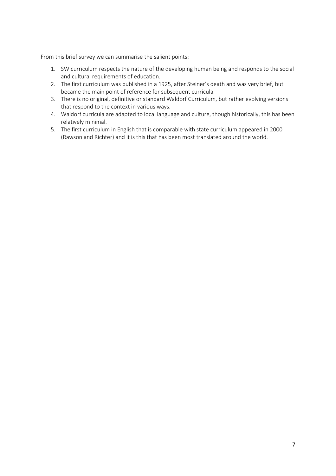From this brief survey we can summarise the salient points:

- 1. SW curriculum respects the nature of the developing human being and responds to the social and cultural requirements of education.
- 2. The first curriculum was published in a 1925, after Steiner's death and was very brief, but became the main point of reference for subsequent curricula.
- 3. There is no original, definitive or standard Waldorf Curriculum, but rather evolving versions that respond to the context in various ways.
- 4. Waldorf curricula are adapted to local language and culture, though historically, this has been relatively minimal.
- 5. The first curriculum in English that is comparable with state curriculum appeared in 2000 (Rawson and Richter) and it is this that has been most translated around the world.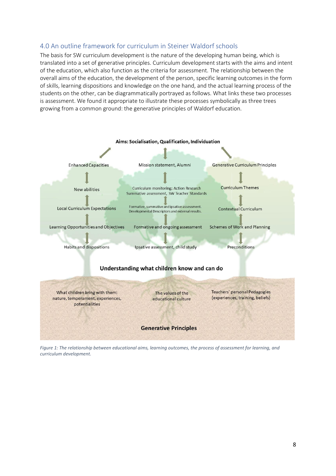# 4.0 An outline framework for curriculum in Steiner Waldorf schools

The basis for SW curriculum development is the nature of the developing human being, which is translated into a set of generative principles. Curriculum development starts with the aims and intent of the education, which also function as the criteria for assessment. The relationship between the overall aims of the education, the development of the person, specific learning outcomes in the form of skills, learning dispositions and knowledge on the one hand, and the actual learning process of the students on the other, can be diagrammatically portrayed as follows. What links these two processes is assessment. We found it appropriate to illustrate these processes symbolically as three trees growing from a common ground: the generative principles of Waldorf education.



*Figure 1: The relationship between educational aims, learning outcomes, the process of assessment for learning, and curriculum development.*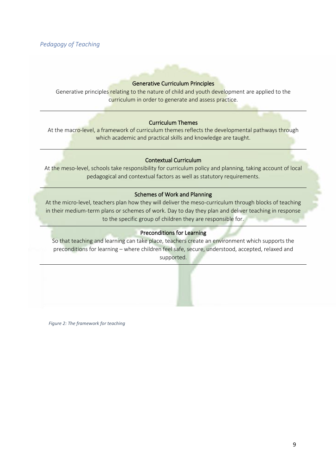## *Pedagogy of Teaching*

### Generative Curriculum Principles

Generative principles relating to the nature of child and youth development are applied to the curriculum in order to generate and assess practice.

#### Curriculum Themes

At the macro-level, a framework of curriculum themes reflects the developmental pathways through which academic and practical skills and knowledge are taught.

#### Contextual Curriculum

At the meso-level, schools take responsibility for curriculum policy and planning, taking account of local pedagogical and contextual factors as well as statutory requirements.

#### Schemes of Work and Planning

At the micro-level, teachers plan how they will deliver the meso-curriculum through blocks of teaching in their medium-term plans or schemes of work. Day to day they plan and deliver teaching in response to the specific group of children they are responsible for.

### Preconditions for Learning

So that teaching and learning can take place, teachers create an environment which supports the preconditions for learning – where children feel safe, secure, understood, accepted, relaxed and supported.

*Figure 2: The framework for teaching*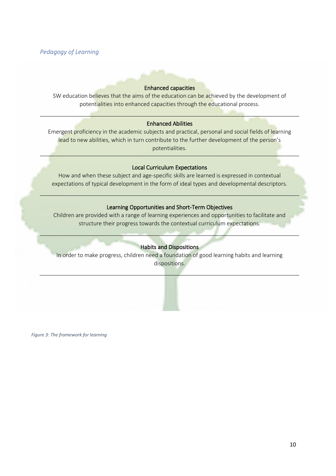### *Pedagogy of Learning*

#### Enhanced capacities

SW education believes that the aims of the education can be achieved by the development of potentialities into enhanced capacities through the educational process.

#### Enhanced Abilities

Emergent proficiency in the academic subjects and practical, personal and social fields of learning lead to new abilities, which in turn contribute to the further development of the person's potentialities.

#### Local Curriculum Expectations

How and when these subject and age-specific skills are learned is expressed in contextual expectations of typical development in the form of ideal types and developmental descriptors.

### Learning Opportunities and Short-Term Objectives

Children are provided with a range of learning experiences and opportunities to facilitate and structure their progress towards the contextual curriculum expectations.

### Habits and Dispositions

In order to make progress, children need a foundation of good learning habits and learning dispositions.

*Figure 3: The framework for learning*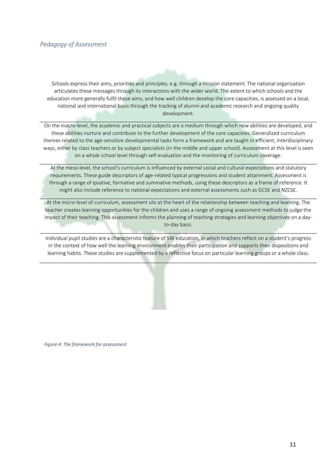### *Pedagogy of Assessment*

Schools express their aims, priorities and principles, e.g. through a mission statement. The national organisation articulates these messages through its interactions with the wider world. The extent to which schools and the education more generally fulfil these aims, and how well children develop the core capacities, is assessed on a local, national and international basis through the tracking of alumni and academic research and ongoing quality development.

On the macro-level, the academic and practical subjects are a medium through which new abilities are developed, and these abilities nurture and contribute to the further development of the core capacities. Generalized curriculum themes related to the age-sensitive developmental tasks form a framework and are taught in efficient, interdisciplinary ways, either by class teachers or by subject specialists (in the middle and upper school). Assessment at this level is seen on a whole school level through self-evaluation and the monitoring of curriculum coverage.

At the meso-level, the school's curriculum is influenced by external social and cultural expectations and statutory requirements. These guide descriptors of age-related typical progressions and student attainment. Assessment is through a range of ipsative, formative and summative methods, using these descriptors as a frame of reference. It might also include reference to national expectations and external assessments such as GCSE and NZCSE.

At the micro-level of curriculum, assessment sits at the heart of the relationship between teaching and learning. The teacher creates learning opportunities for the children and uses a range of ongoing assessment methods to judge the impact of their teaching. This assessment informs the planning of teaching strategies and learning objectives on a dayto-day basis.

Individual pupil studies are a characteristic feature of SW education, in which teachers reflect on a student's progress in the context of how well the learning environment enables their participation and supports their dispositions and learning habits. These studies are supplemented by a reflective focus on particular learning groups or a whole class.

*Figure 4: The framework for assessment*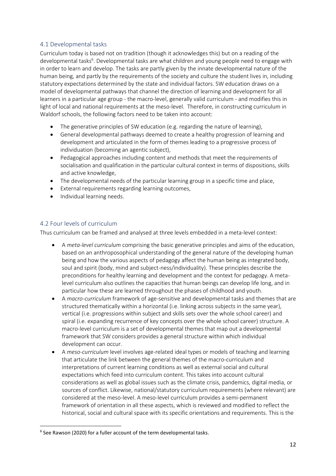### 4.1 Developmental tasks

Curriculum today is based not on tradition (though it acknowledges this) but on a reading of the developmental tasks<sup>6</sup>. Developmental tasks are what children and young people need to engage with in order to learn and develop. The tasks are partly given by the innate developmental nature of the human being, and partly by the requirements of the society and culture the student lives in, including statutory expectations determined by the state and individual factors. SW education draws on a model of developmental pathways that channel the direction of learning and development for all learners in a particular age group - the macro-level, generally valid curriculum - and modifies this in light of local and national requirements at the meso-level. Therefore, in constructing curriculum in Waldorf schools, the following factors need to be taken into account:

- The generative principles of SW education (e.g. regarding the nature of learning),
- General developmental pathways deemed to create a healthy progression of learning and development and articulated in the form of themes leading to a progressive process of individuation (becoming an agentic subject),
- Pedagogical approaches including content and methods that meet the requirements of socialisation and qualification in the particular cultural context in terms of dispositions, skills and active knowledge,
- The developmental needs of the particular learning group in a specific time and place,
- External requirements regarding learning outcomes,
- Individual learning needs.

# 4.2 Four levels of curriculum

Thus curriculum can be framed and analysed at three levels embedded in a meta-level context:

- A *meta-level curriculum* comprising the basic generative principles and aims of the education, based on an anthroposophical understanding of the general nature of the developing human being and how the various aspects of pedagogy affect the human being as integrated body, soul and spirit (body, mind and subject-ness/individuality). These principles describe the preconditions for healthy learning and development and the context for pedagogy. A metalevel curriculum also outlines the capacities that human beings can develop life long, and in particular how these are learned throughout the phases of childhood and youth.
- A *macro-curriculum* framework of age-sensitive and developmental tasks and themes that are structured thematically within a horizontal (i.e. linking across subjects in the same year), vertical (i.e. progressions within subject and skills sets over the whole school career) and spiral (i.e. expanding recurrence of key concepts over the whole school career) structure. A macro-level curriculum is a set of developmental themes that map out a developmental framework that SW considers provides a general structure within which individual development can occur.
- A *meso-curriculum* level involves age-related ideal types or models of teaching and learning that articulate the link between the general themes of the macro-curriculum and interpretations of current learning conditions as well as external social and cultural expectations which feed into curriculum content. This takes into account cultural considerations as well as global issues such as the climate crisis, pandemics, digital media, or sources of conflict. Likewise, national/statutory curriculum requirements (where relevant) are considered at the meso-level. A meso-level curriculum provides a semi-permanent framework of orientation in all these aspects, which is reviewed and modified to reflect the historical, social and cultural space with its specific orientations and requirements. This is the

<sup>&</sup>lt;sup>6</sup> See Rawson (2020) for a fuller account of the term developmental tasks.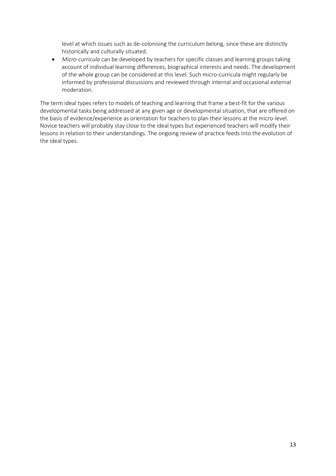level at which issues such as de-colonising the curriculum belong, since these are distinctly historically and culturally situated.

• *Micro-curricula* can be developed by teachers for specific classes and learning groups taking account of individual learning differences, biographical interests and needs. The development of the whole group can be considered at this level. Such micro-curricula might regularly be informed by professional discussions and reviewed through internal and occasional external moderation.

The term ideal types refers to models of teaching and learning that frame a best-fit for the various developmental tasks being addressed at any given age or developmental situation, that are offered on the basis of evidence/experience as orientation for teachers to plan their lessons at the micro-level. Novice teachers will probably stay close to the ideal types but experienced teachers will modify their lessons in relation to their understandings. The ongoing review of practice feeds into the evolution of the ideal types.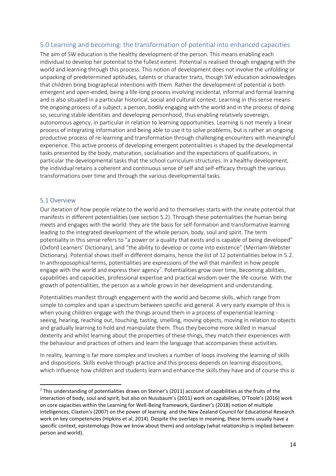# 5.0 Learning and becoming: the transformation of potential into enhanced capacities

The aim of SW education is the healthy development of the person. This means enabling each individual to develop her potential to the fullest extent. Potential is realised through engaging with the world and learning through this process. This notion of development does not involve the unfolding or unpacking of predetermined aptitudes, talents or character traits, though SW education acknowledges that children bring biographical intentions with them. Rather the development of potential is both emergent and open-ended, being a life-long process involving incidental, informal and formal learning and is also situated in a particular historical, social and cultural context. Learning in this sense means the ongoing process of a subject, a person, bodily engaging with the world and in the process of doing so, securing stable identities and developing personhood, thus enabling relatively sovereign, autonomous agency, in particular in relation to learning opportunities. Learning is not merely a linear process of integrating information and being able to use it to solve problems, but is rather an ongoing productive process of re-learning and transformation through challenging encounters with meaningful experience. This active process of developing emergent potentialities is shaped by the developmental tasks presented by the body, maturation, socialisation and the expectations of qualifications, in particular the developmental tasks that the school curriculum structures. In a healthy development, the individual retains a coherent and continuous sense of self and self-efficacy through the various transformations over time and through the various developmental tasks.

### 5.1 Overview

Our iteration of how people relate to the world and to themselves starts with the innate potential that manifests in different potentialities (see section 5.2). Through these potentialities the human being meets and engages with the world: they are the basis for self-formation and transformative learning leading to the integrated development of the whole person, body, soul and spirit. The term potentiality in this sense refers to "a power or a quality that exists and is capable of being developed" (Oxford Learners' Dictionary), and "the ability to develop or come into existence" (Merriam-Webster Dictionary). Potential shows itself in different domains, hence the list of 12 potentialities below in 5.2. In anthroposophical terms, potentialities are expressions of the will that manifest in how people engage with the world and express their agency<sup>7</sup>. Potentialities grow over time, becoming abilities, capabilities and capacities, professional expertise and practical wisdom over the life-course. With the growth of potentialities, the person as a whole grows in her development and understanding.

Potentialities manifest through engagement with the world and become skills, which range from simple to complex and span a spectrum between specific and general. A very early example of this is when young children engage with the things around them in a process of experiential learning seeing, hearing, reaching out, touching, tasting, smelling, moving objects, moving in relation to objects and gradually learning to hold and manipulate them. Thus they become more skilled in manual dexterity and whilst learning about the properties of these things, they match their experiences with the behaviour and practices of others and learn the language that accompanies these activities.

In reality, learning is far more complex and involves a number of loops involving the learning of skills and dispositions. Skills evolve through practice and this process depends on learning dispositions, which influence how children and students learn and enhance the skills they have and of course this is

 $7$  This understanding of potentialities draws on Steiner's (2011) account of capabilities as the fruits of the interaction of body, soul and spirit, but also on Nussbaum's (2011) work on capabilities, O'Toole's (2016) work on core capacities within the Learning for Well-Being framework, Gardiner's (2018) notion of multiple intelligences, Claxton's (2007) on the power of learning and the New Zealand Council for Educational Research work on key competencies (Hipkins et al, 2014). Despite the overlaps in meaning, these terms usually have a specific context, epistemology (how we know about them) and ontology (what relationship is implied between person and world).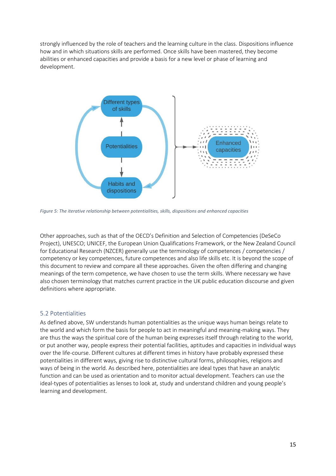strongly influenced by the role of teachers and the learning culture in the class. Dispositions influence how and in which situations skills are performed. Once skills have been mastered, they become abilities or enhanced capacities and provide a basis for a new level or phase of learning and development.



*Figure 5: The iterative relationship between potentialities, skills, dispositions and enhanced capacities*

Other approaches, such as that of the OECD's Definition and Selection of Competencies (DeSeCo Project), UNESCO; UNICEF, the European Union Qualifications Framework, or the New Zealand Council for Educational Research (NZCER) generally use the terminology of competences / competencies / competency or key competences, future competences and also life skills etc. It is beyond the scope of this document to review and compare all these approaches. Given the often differing and changing meanings of the term competence, we have chosen to use the term skills. Where necessary we have also chosen terminology that matches current practice in the UK public education discourse and given definitions where appropriate.

### 5.2 Potentialities

As defined above, SW understands human potentialities as the unique ways human beings relate to the world and which form the basis for people to act in meaningful and meaning-making ways. They are thus the ways the spiritual core of the human being expresses itself through relating to the world, or put another way, people express their potential facilities, aptitudes and capacities in individual ways over the life-course. Different cultures at different times in history have probably expressed these potentialities in different ways, giving rise to distinctive cultural forms, philosophies, religions and ways of being in the world. As described here, potentialities are ideal types that have an analytic function and can be used as orientation and to monitor actual development. Teachers can use the ideal-types of potentialities as lenses to look at, study and understand children and young people's learning and development.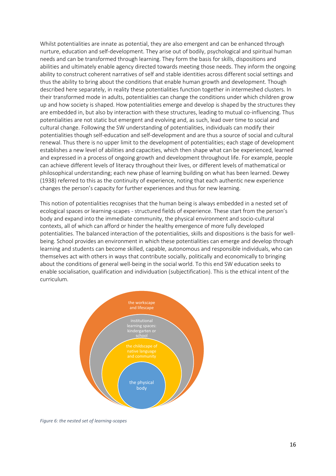Whilst potentialities are innate as potential, they are also emergent and can be enhanced through nurture, education and self-development. They arise out of bodily, psychological and spiritual human needs and can be transformed through learning. They form the basis for skills, dispositions and abilities and ultimately enable agency directed towards meeting those needs. They inform the ongoing ability to construct coherent narratives of self and stable identities across different social settings and thus the ability to bring about the conditions that enable human growth and development. Though described here separately, in reality these potentialities function together in intermeshed clusters. In their transformed mode in adults, potentialities can change the conditions under which children grow up and how society is shaped. How potentialities emerge and develop is shaped by the structures they are embedded in, but also by interaction with these structures, leading to mutual co-influencing. Thus potentialities are not static but emergent and evolving and, as such, lead over time to social and cultural change. Following the SW understanding of potentialities, individuals can modify their potentialities though self-education and self-development and are thus a source of social and cultural renewal. Thus there is no upper limit to the development of potentialities; each stage of development establishes a new level of abilities and capacities, which then shape what can be experienced, learned and expressed in a process of ongoing growth and development throughout life. For example, people can achieve different levels of literacy throughout their lives, or different levels of mathematical or philosophical understanding; each new phase of learning building on what has been learned. Dewey (1938) referred to this as the continuity of experience, noting that each authentic new experience changes the person's capacity for further experiences and thus for new learning.

This notion of potentialities recognises that the human being is always embedded in a nested set of ecological spaces or learning-scapes - structured fields of experience. These start from the person's body and expand into the immediate community, the physical environment and socio-cultural contexts, all of which can afford or hinder the healthy emergence of more fully developed potentialities. The balanced interaction of the potentialities, skills and dispositions is the basis for wellbeing. School provides an environment in which these potentialities can emerge and develop through learning and students can become skilled, capable, autonomous and responsible individuals, who can themselves act with others in ways that contribute socially, politically and economically to bringing about the conditions of general well-being in the social world. To this end SW education seeks to enable socialisation, qualification and individuation (subjectification). This is the ethical intent of the curriculum.



*Figure 6: the nested set of learning-scapes*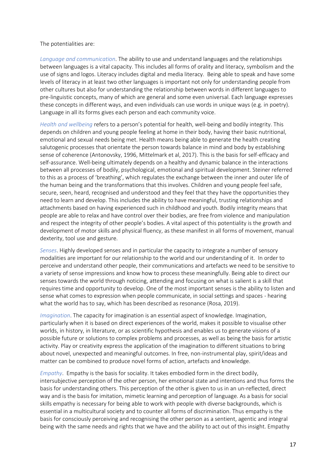#### The potentialities are:

*Language and communication*. The ability to use and understand languages and the relationships between languages is a vital capacity. This includes all forms of orality and literacy, symbolism and the use of signs and logos. Literacy includes digital and media literacy. Being able to speak and have some levels of literacy in at least two other languages is important not only for understanding people from other cultures but also for understanding the relationship between words in different languages to pre-linguistic concepts, many of which are general and some even universal. Each language expresses these concepts in different ways, and even individuals can use words in unique ways (e.g. in poetry). Language in all its forms gives each person and each community voice.

*Health and wellbeing* refers to a person's potential for health, well-being and bodily integrity. This depends on children and young people feeling at home in their body, having their basic nutritional, emotional and sexual needs being met. Health means being able to generate the health creating salutogenic processes that orientate the person towards balance in mind and body by establishing sense of coherence (Antonovsky, 1996, Mittelmark et al, 2017). This is the basis for self-efficacy and self-assurance. Well-being ultimately depends on a healthy and dynamic balance in the interactions between all processes of bodily, psychological, emotional and spiritual development. Steiner referred to this as a process of 'breathing', which regulates the exchange between the inner and outer life of the human being and the transformations that this involves. Children and young people feel safe, secure, seen, heard, recognised and understood and they feel that they have the opportunities they need to learn and develop. This includes the ability to have meaningful, trusting relationships and attachments based on having experienced such in childhood and youth. Bodily integrity means that people are able to relax and have control over their bodies, are free from violence and manipulation and respect the integrity of other people's bodies. A vital aspect of this potentiality is the growth and development of motor skills and physical fluency, as these manifest in all forms of movement, manual dexterity, tool use and gesture.

*Senses*. Highly developed senses and in particular the capacity to integrate a number of sensory modalities are important for our relationship to the world and our understanding of it. In order to perceive and understand other people, their communications and artefacts we need to be sensitive to a variety of sense impressions and know how to process these meaningfully. Being able to direct our senses towards the world through noticing, attending and focusing on what is salient is a skill that requires time and opportunity to develop. One of the most important senses is the ability to listen and sense what comes to expression when people communicate, in social settings and spaces - hearing what the world has to say, which has been described as resonance (Rosa, 2019).

*Imagination*. The capacity for imagination is an essential aspect of knowledge. Imagination, particularly when it is based on direct experiences of the world, makes it possible to visualise other worlds, in history, in literature, or as scientific hypothesis and enables us to generate visions of a possible future or solutions to complex problems and processes, as well as being the basis for artistic activity. Play or creativity express the application of the imagination to different situations to bring about novel, unexpected and meaningful outcomes. In free, non-instrumental play, spirit/ideas and matter can be combined to produce novel forms of action, artefacts and knowledge.

*Empathy*. Empathy is the basis for sociality. It takes embodied form in the direct bodily, intersubjective perception of the other person, her emotional state and intentions and thus forms the basis for understanding others. This perception of the other is given to us in an un-reflected, direct way and is the basis for imitation, mimetic learning and perception of language. As a basis for social skills empathy is necessary for being able to work with people with diverse backgrounds, which is essential in a multicultural society and to counter all forms of discrimination. Thus empathy is the basis for consciously perceiving and recognising the other person as a sentient, agentic and integral being with the same needs and rights that we have and the ability to act out of this insight. Empathy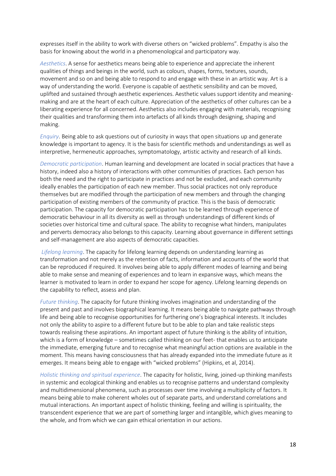expresses itself in the ability to work with diverse others on "wicked problems". Empathy is also the basis for knowing about the world in a phenomenological and participatory way.

*Aesthetics*. A sense for aesthetics means being able to experience and appreciate the inherent qualities of things and beings in the world, such as colours, shapes, forms, textures, sounds, movement and so on and being able to respond to and engage with these in an artistic way. Art is a way of understanding the world. Everyone is capable of aesthetic sensibility and can be moved, uplifted and sustained through aesthetic experiences. Aesthetic values support identity and meaningmaking and are at the heart of each culture. Appreciation of the aesthetics of other cultures can be a liberating experience for all concerned. Aesthetics also includes engaging with materials, recognising their qualities and transforming them into artefacts of all kinds through designing, shaping and making.

*Enquiry*. Being able to ask questions out of curiosity in ways that open situations up and generate knowledge is important to agency. It is the basis for scientific methods and understandings as well as interpretive, hermeneutic approaches, symptomatology, artistic activity and research of all kinds.

*Democratic participation*. Human learning and development are located in social practices that have a history, indeed also a history of interactions with other communities of practices. Each person has both the need and the right to participate in practices and not be excluded, and each community ideally enables the participation of each new member. Thus social practices not only reproduce themselves but are modified through the participation of new members and through the changing participation of existing members of the community of practice. This is the basis of democratic participation. The capacity for democratic participation has to be learned through experience of democratic behaviour in all its diversity as well as through understandings of different kinds of societies over historical time and cultural space. The ability to recognise what hinders, manipulates and perverts democracy also belongs to this capacity. Learning about governance in different settings and self-management are also aspects of democratic capacities.

*Lifelong learning*. The capacity for lifelong learning depends on understanding learning as transformation and not merely as the retention of facts, information and accounts of the world that can be reproduced if required. It involves being able to apply different modes of learning and being able to make sense and meaning of experiences and to learn in expansive ways, which means the learner is motivated to learn in order to expand her scope for agency. Lifelong learning depends on the capability to reflect, assess and plan.

*Future thinking*. The capacity for future thinking involves imagination and understanding of the present and past and involves biographical learning. It means being able to navigate pathways through life and being able to recognise opportunities for furthering one's biographical interests. It includes not only the ability to aspire to a different future but to be able to plan and take realistic steps towards realising these aspirations. An important aspect of future thinking is the ability of intuition, which is a form of knowledge – sometimes called thinking on our feet- that enables us to anticipate the immediate, emerging future and to recognise what meaningful action options are available in the moment. This means having consciousness that has already expanded into the immediate future as it emerges. It means being able to engage with "wicked problems" (Hipkins, et al, 2014).

*Holistic thinking and spiritual experience*. The capacity for holistic, living, joined-up thinking manifests in systemic and ecological thinking and enables us to recognise patterns and understand complexity and multidimensional phenomena, such as processes over time involving a multiplicity of factors. It means being able to make coherent wholes out of separate parts, and understand correlations and mutual interactions. An important aspect of holistic thinking, feeling and willing is spirituality, the transcendent experience that we are part of something larger and intangible, which gives meaning to the whole, and from which we can gain ethical orientation in our actions.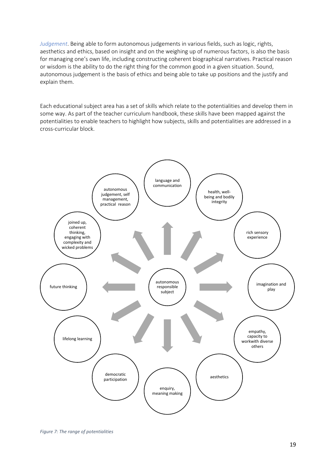*Judgement*. Being able to form autonomous judgements in various fields, such as logic, rights, aesthetics and ethics, based on insight and on the weighing up of numerous factors, is also the basis for managing one's own life, including constructing coherent biographical narratives. Practical reason or wisdom is the ability to do the right thing for the common good in a given situation. Sound, autonomous judgement is the basis of ethics and being able to take up positions and the justify and explain them.

Each educational subject area has a set of skills which relate to the potentialities and develop them in some way. As part of the teacher curriculum handbook, these skills have been mapped against the potentialities to enable teachers to highlight how subjects, skills and potentialities are addressed in a cross-curricular block.



*Figure 7: The range of potentialities*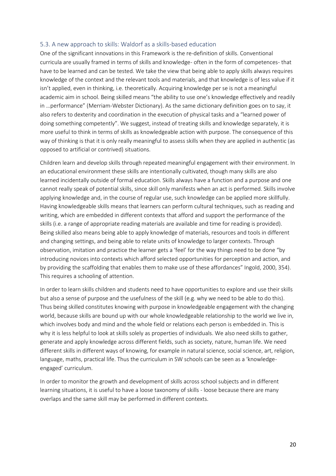### 5.3. A new approach to skills: Waldorf as a skills-based education

One of the significant innovations in this Framework is the re-definition of skills. Conventional curricula are usually framed in terms of skills and knowledge- often in the form of competences- that have to be learned and can be tested. We take the view that being able to apply skills always requires knowledge of the context and the relevant tools and materials, and that knowledge is of less value if it isn't applied, even in thinking, i.e. theoretically. Acquiring knowledge per se is not a meaningful academic aim in school. Being skilled means "the ability to use one's knowledge effectively and readily in …performance" (Merriam-Webster Dictionary). As the same dictionary definition goes on to say, it also refers to dexterity and coordination in the execution of physical tasks and a "learned power of doing something competently". We suggest, instead of treating skills and knowledge separately, it is more useful to think in terms of skills as knowledgeable action with purpose. The consequence of this way of thinking is that it is only really meaningful to assess skills when they are applied in authentic (as opposed to artificial or contrived) situations.

Children learn and develop skills through repeated meaningful engagement with their environment. In an educational environment these skills are intentionally cultivated, though many skills are also learned incidentally outside of formal education. Skills always have a function and a purpose and one cannot really speak of potential skills, since skill only manifests when an act is performed. Skills involve applying knowledge and, in the course of regular use, such knowledge can be applied more skillfully. Having knowledgeable skills means that learners can perform cultural techniques, such as reading and writing, which are embedded in different contexts that afford and support the performance of the skills (i.e. a range of appropriate reading materials are available and time for reading is provided). Being skilled also means being able to apply knowledge of materials, resources and tools in different and changing settings, and being able to relate units of knowledge to larger contexts. Through observation, imitation and practice the learner gets a 'feel' for the way things need to be done "by introducing novices into contexts which afford selected opportunities for perception and action, and by providing the scaffolding that enables them to make use of these affordances" Ingold, 2000, 354). This requires a schooling of attention.

In order to learn skills children and students need to have opportunities to explore and use their skills but also a sense of purpose and the usefulness of the skill (e.g. why we need to be able to do this). Thus being skilled constitutes knowing with purpose in knowledgeable engagement with the changing world, because skills are bound up with our whole knowledgeable relationship to the world we live in, which involves body and mind and the whole field or relations each person is embedded in. This is why it is less helpful to look at skills solely as properties of individuals. We also need skills to gather, generate and apply knowledge across different fields, such as society, nature, human life. We need different skills in different ways of knowing, for example in natural science, social science, art, religion, language, maths, practical life. Thus the curriculum in SW schools can be seen as a 'knowledgeengaged' curriculum.

In order to monitor the growth and development of skills across school subjects and in different learning situations, it is useful to have a loose taxonomy of skills - loose because there are many overlaps and the same skill may be performed in different contexts.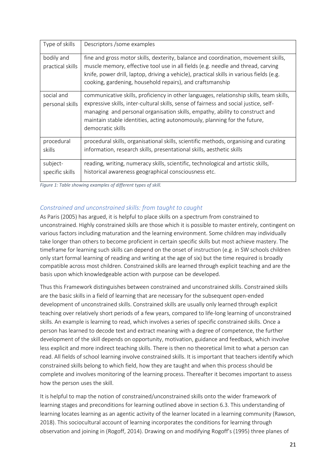| Type of skills                 | Descriptors / some examples                                                                                                                                                                                                                                                                                                                                        |
|--------------------------------|--------------------------------------------------------------------------------------------------------------------------------------------------------------------------------------------------------------------------------------------------------------------------------------------------------------------------------------------------------------------|
| bodily and<br>practical skills | fine and gross motor skills, dexterity, balance and coordination, movement skills,<br>muscle memory, effective tool use in all fields (e.g. needle and thread, carving<br>knife, power drill, laptop, driving a vehicle), practical skills in various fields (e.g.<br>cooking, gardening, household repairs), and craftsmanship                                    |
| social and<br>personal skills  | communicative skills, proficiency in other languages, relationship skills, team skills,<br>expressive skills, inter-cultural skills, sense of fairness and social justice, self-<br>managing and personal organisation skills, empathy, ability to construct and<br>maintain stable identities, acting autonomously, planning for the future,<br>democratic skills |
| procedural<br>skills           | procedural skills, organisational skills, scientific methods, organising and curating<br>information, research skills, presentational skills, aesthetic skills                                                                                                                                                                                                     |
| subject-<br>specific skills    | reading, writing, numeracy skills, scientific, technological and artistic skills,<br>historical awareness geographical consciousness etc.                                                                                                                                                                                                                          |

*Figure 1: Table showing examples of different types of skill.*

# *Constrained and unconstrained skills: from taught to caught*

As Paris (2005) has argued, it is helpful to place skills on a spectrum from constrained to unconstrained. Highly constrained skills are those which it is possible to master entirely, contingent on various factors including maturation and the learning environment. Some children may individually take longer than others to become proficient in certain specific skills but most achieve mastery. The timeframe for learning such skills can depend on the onset of instruction (e.g. in SW schools children only start formal learning of reading and writing at the age of six) but the time required is broadly compatible across most children. Constrained skills are learned through explicit teaching and are the basis upon which knowledgeable action with purpose can be developed.

Thus this Framework distinguishes between constrained and unconstrained skills. Constrained skills are the basic skills in a field of learning that are necessary for the subsequent open-ended development of unconstrained skills. Constrained skills are usually only learned through explicit teaching over relatively short periods of a few years, compared to life-long learning of unconstrained skills. An example is learning to read, which involves a series of specific constrained skills. Once a person has learned to decode text and extract meaning with a degree of competence, the further development of the skill depends on opportunity, motivation, guidance and feedback, which involve less explicit and more indirect teaching skills. There is then no theoretical limit to what a person can read. All fields of school learning involve constrained skills. It is important that teachers identify which constrained skills belong to which field, how they are taught and when this process should be complete and involves monitoring of the learning process. Thereafter it becomes important to assess how the person uses the skill.

It is helpful to map the notion of constrained/unconstrained skills onto the wider framework of learning stages and preconditions for learning outlined above in section 6.3. This understanding of learning locates learning as an agentic activity of the learner located in a learning community (Rawson, 2018). This sociocultural account of learning incorporates the conditions for learning through observation and joining in (Rogoff, 2014). Drawing on and modifying Rogoff's (1995) three planes of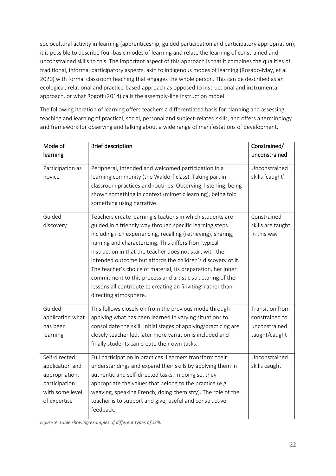sociocultural activity in learning (apprenticeship, guided participation and participatory appropriation), it is possible to describe four basic modes of learning and relate the learning of constrained and unconstrained skills to this. The important aspect of this approach is that it combines the qualities of traditional, informal participatory aspects, akin to indigenous modes of learning (Rosado-May, et al 2020) with formal classroom teaching that engages the whole person. This can be described as an ecological, relational and practice-based approach as opposed to instructional and instrumental approach, or what Rogoff (2014) calls the assembly-line instruction model.

The following iteration of learning offers teachers a differentiated basis for planning and assessing teaching and learning of practical, social, personal and subject-related skills, and offers a terminology and framework for observing and talking about a wide range of manifestations of development.

| Mode of<br>learning                                                                                    | <b>Brief description</b>                                                                                                                                                                                                                                                                                                                                                                                                                                                                                                                                                                         | Constrained/<br>unconstrained                                              |
|--------------------------------------------------------------------------------------------------------|--------------------------------------------------------------------------------------------------------------------------------------------------------------------------------------------------------------------------------------------------------------------------------------------------------------------------------------------------------------------------------------------------------------------------------------------------------------------------------------------------------------------------------------------------------------------------------------------------|----------------------------------------------------------------------------|
| Participation as<br>novice                                                                             | Peripheral, intended and welcomed participation in a<br>learning community (the Waldorf class). Taking part in<br>classroom practices and routines. Observing, listening, being<br>shown something in context (mimetic learning), being told<br>something using narrative.                                                                                                                                                                                                                                                                                                                       | Unconstrained<br>skills 'caught'                                           |
| Guided<br>discovery                                                                                    | Teachers create learning situations in which students are<br>guided in a friendly way through specific learning steps<br>including rich experiencing, recalling (retrieving), sharing,<br>naming and characterizing. This differs from typical<br>instruction in that the teacher does not start with the<br>intended outcome but affords the children's discovery of it.<br>The teacher's choice of material, its preparation, her inner<br>commitment to this process and artistic structuring of the<br>lessons all contribute to creating an 'inviting' rather than<br>directing atmosphere. | Constrained<br>skills are taught<br>in this way                            |
| Guided<br>application what<br>has been<br>learning                                                     | This follows closely on from the previous mode through<br>applying what has been learned in varying situations to<br>consolidate the skill. Initial stages of applying/practicing are<br>closely teacher led, later more variation is included and<br>finally students can create their own tasks.                                                                                                                                                                                                                                                                                               | <b>Transition from</b><br>constrained to<br>unconstrained<br>taught/caught |
| Self-directed<br>application and<br>appropriation,<br>participation<br>with some level<br>of expertise | Full participation in practices. Learners transform their<br>understandings and expand their skills by applying them in<br>authentic and self-directed tasks. In doing so, they<br>appropriate the values that belong to the practice (e.g.<br>weaving, speaking French, doing chemistry). The role of the<br>teacher is to support and give, useful and constructive<br>feedback.                                                                                                                                                                                                               | Unconstrained<br>skills caught                                             |

*Figure 9: Table showing examples of different types of skill.*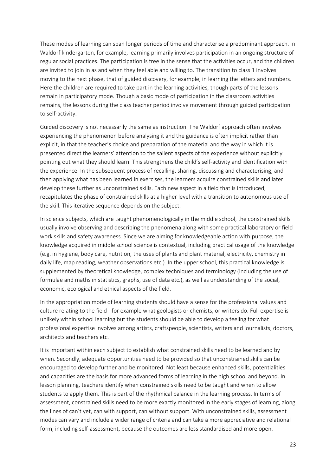These modes of learning can span longer periods of time and characterise a predominant approach. In Waldorf kindergarten, for example, learning primarily involves participation in an ongoing structure of regular social practices. The participation is free in the sense that the activities occur, and the children are invited to join in as and when they feel able and willing to. The transition to class 1 involves moving to the next phase, that of guided discovery, for example, in learning the letters and numbers. Here the children are required to take part in the learning activities, though parts of the lessons remain in participatory mode. Though a basic mode of participation in the classroom activities remains, the lessons during the class teacher period involve movement through guided participation to self-activity.

Guided discovery is not necessarily the same as instruction. The Waldorf approach often involves experiencing the phenomenon before analysing it and the guidance is often implicit rather than explicit, in that the teacher's choice and preparation of the material and the way in which it is presented direct the learners' attention to the salient aspects of the experience without explicitly pointing out what they should learn. This strengthens the child's self-activity and identification with the experience. In the subsequent process of recalling, sharing, discussing and characterising, and then applying what has been learned in exercises, the learners acquire constrained skills and later develop these further as unconstrained skills. Each new aspect in a field that is introduced, recapitulates the phase of constrained skills at a higher level with a transition to autonomous use of the skill. This iterative sequence depends on the subject.

In science subjects, which are taught phenomenologically in the middle school, the constrained skills usually involve observing and describing the phenomena along with some practical laboratory or field work skills and safety awareness. Since we are aiming for knowledgeable action with purpose, the knowledge acquired in middle school science is contextual, including practical usage of the knowledge (e.g. in hygiene, body care, nutrition, the uses of plants and plant material, electricity, chemistry in daily life, map reading, weather observations etc.). In the upper school, this practical knowledge is supplemented by theoretical knowledge, complex techniques and terminology (including the use of formulae and maths in statistics, graphs, use of data etc.), as well as understanding of the social, economic, ecological and ethical aspects of the field.

In the appropriation mode of learning students should have a sense for the professional values and culture relating to the field - for example what geologists or chemists, or writers do. Full expertise is unlikely within school learning but the students should be able to develop a feeling for what professional expertise involves among artists, craftspeople, scientists, writers and journalists, doctors, architects and teachers etc.

It is important within each subject to establish what constrained skills need to be learned and by when. Secondly, adequate opportunities need to be provided so that unconstrained skills can be encouraged to develop further and be monitored. Not least because enhanced skills, potentialities and capacities are the basis for more advanced forms of learning in the high school and beyond. In lesson planning, teachers identify when constrained skills need to be taught and when to allow students to apply them. This is part of the rhythmical balance in the learning process. In terms of assessment, constrained skills need to be more exactly monitored in the early stages of learning, along the lines of can't yet, can with support, can without support. With unconstrained skills, assessment modes can vary and include a wider range of criteria and can take a more appreciative and relational form, including self-assessment, because the outcomes are less standardised and more open.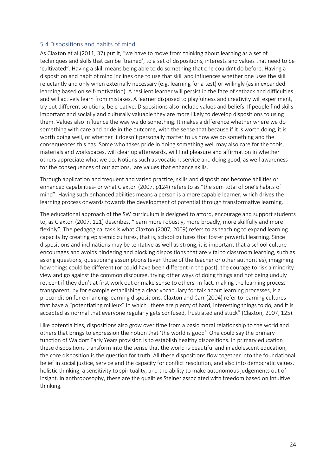#### 5.4 Dispositions and habits of mind

As Claxton et al (2011, 37) put it, "we have to move from thinking about learning as a set of techniques and skills that can be 'trained', to a set of dispositions, interests and values that need to be 'cultivated". Having a skill means being able to do something that one couldn't do before. Having a disposition and habit of mind inclines one to use that skill and influences whether one uses the skill reluctantly and only when externally necessary (e.g. learning for a test) or willingly (as in expanded learning based on self-motivation). A resilient learner will persist in the face of setback and difficulties and will actively learn from mistakes. A learner disposed to playfulness and creativity will experiment, try out different solutions, be creative. Dispositions also include values and beliefs. If people find skills important and socially and culturally valuable they are more likely to develop dispositions to using them. Values also influence the way we do something. It makes a difference whether where we do something with care and pride in the outcome, with the sense that because if it is worth doing, it is worth doing well, or whether it doesn't personally matter to us how we do something and the consequences this has. Some who takes pride in doing something well may also care for the tools, materials and workspaces, will clear up afterwards, will find pleasure and affirmation in whether others appreciate what we do. Notions such as vocation, service and doing good, as well awareness for the consequences of our actions, are values that enhance skills.

Through application and frequent and varied practice, skills and dispositions become abilities or enhanced capabilities- or what Claxton (2007, p124) refers to as "the sum total of one's habits of mind". Having such enhanced abilities means a person is a more capable learner, which drives the learning process onwards towards the development of potential through transformative learning.

The educational approach of the SW curriculum is designed to afford, encourage and support students to, as Claxton (2007, 121) describes, "learn more robustly, more broadly, more skillfully and more flexibly". The pedagogical task is what Claxton (2007, 2009) refers to as teaching to expand learning capacity by creating epistemic cultures, that is, school cultures that foster powerful learning. Since dispositions and inclinations may be tentative as well as strong, it is important that a school culture encourages and avoids hindering and blocking dispositions that are vital to classroom learning, such as asking questions, questioning assumptions (even those of the teacher or other authorities), imagining how things could be different (or could have been different in the past), the courage to risk a minority view and go against the common discourse, trying other ways of doing things and not being unduly reticent if they don't at first work out or make sense to others. In fact, making the learning process transparent, by for example establishing a clear vocabulary for talk about learning processes, is a precondition for enhancing learning dispositions. Claxton and Carr (2004) refer to learning cultures that have a "potentiating milieux" in which "there are plenty of hard, interesting things to do, and it is accepted as normal that everyone regularly gets confused, frustrated and stuck" (Claxton, 2007, 125).

Like potentialities, dispositions also grow over time from a basic moral relationship to the world and others that brings to expression the notion that 'the world is good'. One could say the primary function of Waldorf Early Years provision is to establish healthy dispositions. In primary education these dispositions transform into the sense that the world is beautiful and in adolescent education, the core disposition is the question for truth. All these dispositions flow together into the foundational belief in social justice, service and the capacity for conflict resolution, and also into democratic values, holistic thinking, a sensitivity to spirituality, and the ability to make autonomous judgements out of insight. In anthroposophy, these are the qualities Steiner associated with freedom based on intuitive thinking.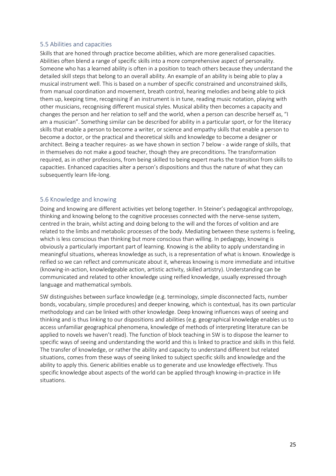### 5.5 Abilities and capacities

Skills that are honed through practice become abilities, which are more generalised capacities. Abilities often blend a range of specific skills into a more comprehensive aspect of personality. Someone who has a learned ability is often in a position to teach others because they understand the detailed skill steps that belong to an overall ability. An example of an ability is being able to play a musical instrument well. This is based on a number of specific constrained and unconstrained skills, from manual coordination and movement, breath control, hearing melodies and being able to pick them up, keeping time, recognising if an instrument is in tune, reading music notation, playing with other musicians, recognising different musical styles. Musical ability then becomes a capacity and changes the person and her relation to self and the world, when a person can describe herself as, "I am a musician". Something similar can be described for ability in a particular sport, or for the literacy skills that enable a person to become a writer, or science and empathy skills that enable a person to become a doctor, or the practical and theoretical skills and knowledge to become a designer or architect. Being a teacher requires- as we have shown in section 7 below - a wide range of skills, that in themselves do not make a good teacher, though they are preconditions. The transformation required, as in other professions, from being skilled to being expert marks the transition from skills to capacities. Enhanced capacities alter a person's dispositions and thus the nature of what they can subsequently learn life-long.

### 5.6 Knowledge and knowing

Doing and knowing are different activities yet belong together. In Steiner's pedagogical anthropology, thinking and knowing belong to the cognitive processes connected with the nerve-sense system, centred in the brain, whilst acting and doing belong to the will and the forces of volition and are related to the limbs and metabolic processes of the body. Mediating between these systems is feeling, which is less conscious than thinking but more conscious than willing. In pedagogy, knowing is obviously a particularly important part of learning. Knowing is the ability to apply understanding in meaningful situations, whereas knowledge as such, is a representation of what is known. Knowledge is reified so we can reflect and communicate about it, whereas knowing is more immediate and intuitive (knowing-in-action, knowledgeable action, artistic activity, skilled artistry). Understanding can be communicated and related to other knowledge using reified knowledge, usually expressed through language and mathematical symbols.

SW distinguishes between surface knowledge (e.g. terminology, simple disconnected facts, number bonds, vocabulary, simple procedures) and deeper knowing, which is contextual, has its own particular methodology and can be linked with other knowledge. Deep knowing influences ways of seeing and thinking and is thus linking to our dispositions and abilities (e.g. geographical knowledge enables us to access unfamiliar geographical phenomena, knowledge of methods of interpreting literature can be applied to novels we haven't read). The function of block teaching in SW is to dispose the learner to specific ways of seeing and understanding the world and this is linked to practice and skills in this field. The transfer of knowledge, or rather the ability and capacity to understand different but related situations, comes from these ways of seeing linked to subject specific skills and knowledge and the ability to apply this. Generic abilities enable us to generate and use knowledge effectively. Thus specific knowledge about aspects of the world can be applied through knowing-in-practice in life situations.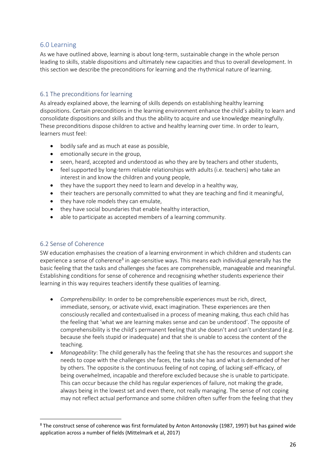# 6.0 Learning

As we have outlined above, learning is about long-term, sustainable change in the whole person leading to skills, stable dispositions and ultimately new capacities and thus to overall development. In this section we describe the preconditions for learning and the rhythmical nature of learning.

# 6.1 The preconditions for learning

As already explained above, the learning of skills depends on establishing healthy learning dispositions. Certain preconditions in the learning environment enhance the child's ability to learn and consolidate dispositions and skills and thus the ability to acquire and use knowledge meaningfully. These preconditions dispose children to active and healthy learning over time. In order to learn, learners must feel:

- bodily safe and as much at ease as possible,
- emotionally secure in the group,
- seen, heard, accepted and understood as who they are by teachers and other students,
- feel supported by long-term reliable relationships with adults (i.e. teachers) who take an interest in and know the children and young people,
- they have the support they need to learn and develop in a healthy way,
- their teachers are personally committed to what they are teaching and find it meaningful,
- they have role models they can emulate,
- they have social boundaries that enable healthy interaction,
- able to participate as accepted members of a learning community.

# 6.2 Sense of Coherence

SW education emphasises the creation of a learning environment in which children and students can experience a sense of coherence<sup>8</sup> in age-sensitive ways. This means each individual generally has the basic feeling that the tasks and challenges she faces are comprehensible, manageable and meaningful. Establishing conditions for sense of coherence and recognising whether students experience their learning in this way requires teachers identify these qualities of learning.

- *Comprehensibility*: In order to be comprehensible experiences must be rich, direct, immediate, sensory, or activate vivid, exact imagination. These experiences are then consciously recalled and contextualised in a process of meaning making, thus each child has the feeling that 'what we are learning makes sense and can be understood'. The opposite of comprehensibility is the child's permanent feeling that she doesn't and can't understand (e.g. because she feels stupid or inadequate) and that she is unable to access the content of the teaching.
- *Manageability*: The child generally has the feeling that she has the resources and support she needs to cope with the challenges she faces, the tasks she has and what is demanded of her by others. The opposite is the continuous feeling of not coping, of lacking self-efficacy, of being overwhelmed, incapable and therefore excluded because she is unable to participate. This can occur because the child has regular experiences of failure, not making the grade, always being in the lowest set and even there, not really managing. The sense of not coping may not reflect actual performance and some children often suffer from the feeling that they

<sup>8</sup> The construct sense of coherence was first formulated by Anton Antonovsky (1987, 1997) but has gained wide application across a number of fields (Mittelmark et al, 2017)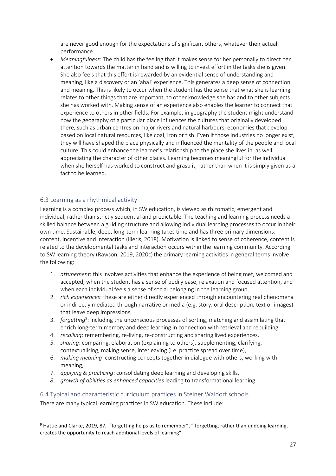are never good enough for the expectations of significant others, whatever their actual performance.

• *Meaningfulness*: The child has the feeling that it makes sense for her personally to direct her attention towards the matter in hand and is willing to invest effort in the tasks she is given. She also feels that this effort is rewarded by an evidential sense of understanding and meaning, like a discovery or an 'aha!' experience. This generates a deep sense of connection and meaning. This is likely to occur when the student has the sense that what she is learning relates to other things that are important, to other knowledge she has and to other subjects she has worked with. Making sense of an experience also enables the learner to connect that experience to others in other fields. For example, in geography the student might understand how the geography of a particular place influences the cultures that originally developed there, such as urban centres on major rivers and natural harbours, economies that develop based on local natural resources, like coal, iron or fish. Even if those industries no longer exist, they will have shaped the place physically and influenced the mentality of the people and local culture. This could enhance the learner's relationship to the place she lives in, as well appreciating the character of other places. Learning becomes meaningful for the individual when she herself has worked to construct and grasp it, rather than when it is simply given as a fact to be learned.

# 6.3 Learning as a rhythmical activity

Learning is a complex process which, in SW education, is viewed as rhizomatic, emergent and individual, rather than strictly sequential and predictable. The teaching and learning process needs a skilled balance between a guiding structure and allowing individual learning processes to occur in their own time. Sustainable, deep, long-term learning takes time and has three primary dimensions: content, incentive and interaction (Illeris, 2018). Motivation is linked to sense of coherence, content is related to the developmental tasks and interaction occurs within the learning community. According to SW learning theory (Rawson, 2019, 2020c) the primary learning activities in general terms involve the following:

- 1. *attunement*: this involves activities that enhance the experience of being met, welcomed and accepted, when the student has a sense of bodily ease, relaxation and focused attention, and when each individual feels a sense of social belonging in the learning group,
- 2. *rich experiences*: these are either directly experienced through encountering real phenomena or indirectly mediated through narrative or media (e.g. story, oral description, text or images) that leave deep impressions,
- 3. *forgetting*<sup>9</sup>: including the unconscious processes of sorting, matching and assimilating that enrich long-term memory and deep learning in connection with retrieval and rebuilding,
- 4. *recalling*: remembering, re-living, re-constructing and sharing lived experiences,
- 5. *sharing*: comparing, elaboration (explaining to others), supplementing, clarifying, contextualising, making sense, interleaving (i.e. practice spread over time),
- 6. *making meaning*: constructing concepts together in dialogue with others, working with meaning,
- 7. *applying & practicing*: consolidating deep learning and developing skills,
- *8. growth of abilities as enhanced capacities* leading to transformational learning.

# 6.4 Typical and characteristic curriculum practices in Steiner Waldorf schools

There are many typical learning practices in SW education. These include:

<sup>&</sup>lt;sup>9</sup> Hattie and Clarke, 2019, 87, "forgetting helps us to remember", " forgetting, rather than undoing learning, creates the opportunity to reach additional levels of learning"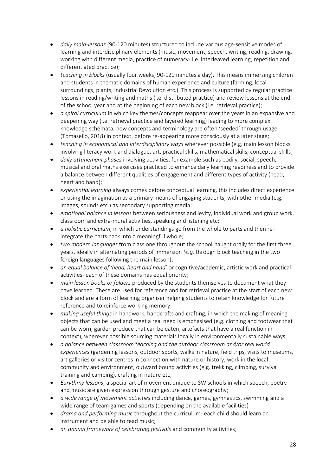- *daily main-lessons* (90-120 minutes) structured to include various age-sensitive modes of learning and interdisciplinary elements (music, movement, speech, writing, reading, drawing, working with different media, practice of numeracy- i.e. interleaved learning, repetition and differentiated practice);
- *teaching in blocks* (usually four weeks, 90-120 minutes a day). This means immersing children and students in thematic domains of human experience and culture (farming, local surroundings, plants, Industrial Revolution etc.). This process is supported by regular practice lessons in reading/writing and maths (i.e. distributed practice) and review lessons at the end of the school year and at the beginning of each new block (i.e. retrieval practice);
- *a spiral curriculum* in which key themes/concepts reappear over the years in an expansive and deepening way (i.e. retrieval practice and layered learning) leading to more complex knowledge schemata; new concepts and terminology are often 'seeded' through usage (Tomasello, 2018) in context, before re-appearing more consciously at a later stage;
- *teaching in economical and interdisciplinary ways* wherever possible (e.g. main lesson blocks involving literacy work and dialogue, art, practical skills, mathematical skills, conceptual skills;
- *daily attunement phases* involving activities, for example such as bodily, social, speech, musical and oral maths exercises practiced to enhance daily learning readiness and to provide a balance between different qualities of engagement and different types of activity (head, heart and hand);
- *experiential learning* always comes before conceptual learning, this includes direct experience or using the imagination as a primary means of engaging students, with other media (e.g. images, sounds etc.) as secondary supporting media;
- *emotional balance in lessons* between seriousness and levity, individual work and group work, classroom and extra-mural activities, speaking and listening etc;
- *a holistic curriculum*, in which understandings go from the whole to parts and then reintegrate the parts back into a meaningful whole;
- *two modern languages* from class one throughout the school, taught orally for the first three years, ideally in alternating periods of immersion *(e.g.* through block teaching in the two foreign languages following the main lesson);
- *an equal balance of 'head, heart and hand'* or cognitive/academic, artistic work and practical activities- each of these domains has equal priority;
- *main lesson books or folders* produced by the students themselves to document what they have learned. These are used for reference and for retrieval practice at the start of each new block and are a form of learning organiser helping students to retain knowledge for future reference and to reinforce working memory;
- *making useful things* in handwork, handcrafts and crafting, in which the making of meaning objects that can be used and meet a real need is emphasised (e.g. clothing and footwear that can be worn, garden produce that can be eaten, artefacts that have a real function in context), wherever possible sourcing materials locally in environmentally sustainable ways;
- *a balance between classroom teaching and the outdoor classroom and/or real world experiences* (gardening lessons, outdoor sports, walks in nature, field trips, visits to museums, art galleries or visitor centres in connection with nature or history, work in the local community and environment, outward bound activities (e.g. trekking, climbing, survival training and camping), crafting in nature etc;
- *Eurythmy lessons*, a special art of movement unique to SW schools in which speech, poetry and music are given expression through gesture and choreography;
- *a wide range of movement activities* including dance, games, gymnastics, swimming and a wide range of team games and sports (depending on the available facilities)
- *drama and performing music* throughout the curriculum- each child should learn an instrument and be able to read music;
- *an annual framework of celebrating festivals* and community activities;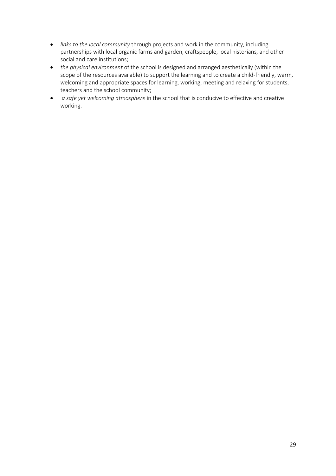- *links to the local community* through projects and work in the community, including partnerships with local organic farms and garden, craftspeople, local historians, and other social and care institutions;
- *the physical environment* of the school is designed and arranged aesthetically (within the scope of the resources available) to support the learning and to create a child-friendly, warm, welcoming and appropriate spaces for learning, working, meeting and relaxing for students, teachers and the school community;
- *a safe yet welcoming atmosphere* in the school that is conducive to effective and creative working.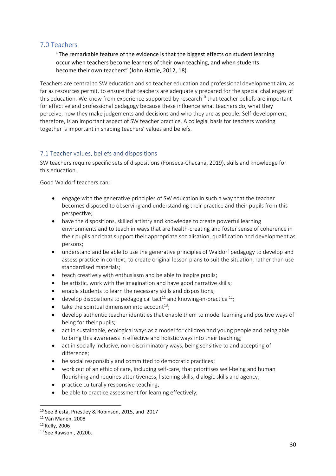# 7.0 Teachers

"The remarkable feature of the evidence is that the biggest effects on student learning occur when teachers become learners of their own teaching, and when students become their own teachers" (John Hattie, 2012, 18)

Teachers are central to SW education and so teacher education and professional development aim, as far as resources permit, to ensure that teachers are adequately prepared for the special challenges of this education. We know from experience supported by research<sup>10</sup> that teacher beliefs are important for effective and professional pedagogy because these influence what teachers do, what they perceive, how they make judgements and decisions and who they are as people. Self-development, therefore, is an important aspect of SW teacher practice. A collegial basis for teachers working together is important in shaping teachers' values and beliefs.

# 7.1 Teacher values, beliefs and dispositions

SW teachers require specific sets of dispositions (Fonseca-Chacana, 2019), skills and knowledge for this education.

Good Waldorf teachers can:

- engage with the generative principles of SW education in such a way that the teacher becomes disposed to observing and understanding their practice and their pupils from this perspective;
- have the dispositions, skilled artistry and knowledge to create powerful learning environments and to teach in ways that are health-creating and foster sense of coherence in their pupils and that support their appropriate socialisation, qualification and development as persons;
- understand and be able to use the generative principles of Waldorf pedagogy to develop and assess practice in context, to create original lesson plans to suit the situation, rather than use standardised materials;
- teach creatively with enthusiasm and be able to inspire pupils;
- be artistic, work with the imagination and have good narrative skills;
- enable students to learn the necessary skills and dispositions;
- develop dispositions to pedagogical tact<sup>11</sup> and knowing-in-practice  $^{12}$ ;
- take the spiritual dimension into account<sup>13</sup>;
- develop authentic teacher identities that enable them to model learning and positive ways of being for their pupils;
- act in sustainable, ecological ways as a model for children and young people and being able to bring this awareness in effective and holistic ways into their teaching;
- act in socially inclusive, non-discriminatory ways, being sensitive to and accepting of difference;
- be social responsibly and committed to democratic practices;
- work out of an ethic of care, including self-care, that prioritises well-being and human flourishing and requires attentiveness, listening skills, dialogic skills and agency;
- practice culturally responsive teaching;
- be able to practice assessment for learning effectively,

<sup>10</sup> See Biesta, Priestley & Robinson, 2015, and 2017

<sup>11</sup> Van Manen, 2008

<sup>12</sup> Kelly, 2006

<sup>13</sup> See Rawson , 2020b.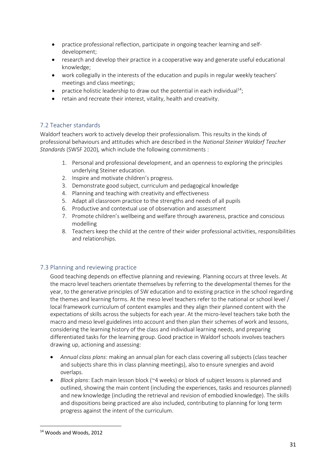- practice professional reflection, participate in ongoing teacher learning and selfdevelopment;
- research and develop their practice in a cooperative way and generate useful educational knowledge;
- work collegially in the interests of the education and pupils in regular weekly teachers' meetings and class meetings;
- practice holistic leadership to draw out the potential in each individual<sup>14</sup>;
- retain and recreate their interest, vitality, health and creativity.

# 7.2 Teacher standards

Waldorf teachers work to actively develop their professionalism. This results in the kinds of professional behaviours and attitudes which are described in the *National Steiner Waldorf Teacher Standards* (SWSF 2020)*,* which include the following commitments :

- 1. Personal and professional development, and an openness to exploring the principles underlying Steiner education.
- 2. Inspire and motivate children's progress.
- 3. Demonstrate good subject, curriculum and pedagogical knowledge
- 4. Planning and teaching with creativity and effectiveness
- 5. Adapt all classroom practice to the strengths and needs of all pupils
- 6. Productive and contextual use of observation and assessment
- 7. Promote children's wellbeing and welfare through awareness, practice and conscious modelling
- 8. Teachers keep the child at the centre of their wider professional activities, responsibilities and relationships.

# 7.3 Planning and reviewing practice

Good teaching depends on effective planning and reviewing. Planning occurs at three levels. At the macro level teachers orientate themselves by referring to the developmental themes for the year, to the generative principles of SW education and to existing practice in the school regarding the themes and learning forms. At the meso level teachers refer to the national or school level / local framework curriculum of content examples and they align their planned content with the expectations of skills across the subjects for each year. At the micro-level teachers take both the macro and meso level guidelines into account and then plan their schemes of work and lessons, considering the learning history of the class and individual learning needs, and preparing differentiated tasks for the learning group. Good practice in Waldorf schools involves teachers drawing up, actioning and assessing:

- *Annual class plans*: making an annual plan for each class covering all subjects (class teacher and subjects share this in class planning meetings), also to ensure synergies and avoid overlaps.
- *Block plans*: Each main lesson block (~4 weeks) or block of subject lessons is planned and outlined, showing the main content (including the experiences, tasks and resources planned) and new knowledge (including the retrieval and revision of embodied knowledge). The skills and dispositions being practiced are also included, contributing to planning for long term progress against the intent of the curriculum.

<sup>14</sup> Woods and Woods, 2012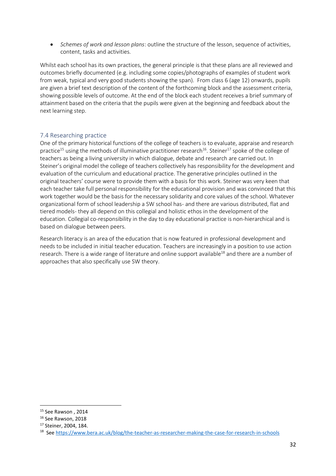• *Schemes of work and lesson plans*: outline the structure of the lesson, sequence of activities, content, tasks and activities.

Whilst each school has its own practices, the general principle is that these plans are all reviewed and outcomes briefly documented (e.g. including some copies/photographs of examples of student work from weak, typical and very good students showing the span). From class 6 (age 12) onwards, pupils are given a brief text description of the content of the forthcoming block and the assessment criteria, showing possible levels of outcome. At the end of the block each student receives a brief summary of attainment based on the criteria that the pupils were given at the beginning and feedback about the next learning step.

### 7.4 Researching practice

One of the primary historical functions of the college of teachers is to evaluate, appraise and research practice<sup>15</sup> using the methods of illuminative practitioner research<sup>16</sup>. Steiner<sup>17</sup> spoke of the college of teachers as being a living university in which dialogue, debate and research are carried out. In Steiner's original model the college of teachers collectively has responsibility for the development and evaluation of the curriculum and educational practice. The generative principles outlined in the original teachers' course were to provide them with a basis for this work. Steiner was very keen that each teacher take full personal responsibility for the educational provision and was convinced that this work together would be the basis for the necessary solidarity and core values of the school. Whatever organizational form of school leadership a SW school has- and there are various distributed, flat and tiered models- they all depend on this collegial and holistic ethos in the development of the education. Collegial co-responsibility in the day to day educational practice is non-hierarchical and is based on dialogue between peers.

Research literacy is an area of the education that is now featured in professional development and needs to be included in initial teacher education. Teachers are increasingly in a position to use action research. There is a wide range of literature and online support available<sup>18</sup> and there are a number of approaches that also specifically use SW theory.

<sup>&</sup>lt;sup>15</sup> See Rawson, 2014

<sup>&</sup>lt;sup>16</sup> See Rawson, 2018

<sup>17</sup> Steiner, 2004, 184.

<sup>&</sup>lt;sup>18</sup> See<https://www.bera.ac.uk/blog/the-teacher-as-researcher-making-the-case-for-research-in-schools>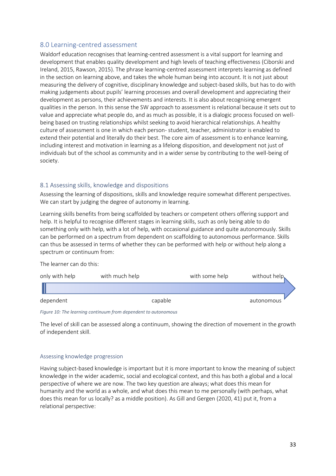# 8.0 Learning-centred assessment

Waldorf education recognises that learning-centred assessment is a vital support for learning and development that enables quality development and high levels of teaching effectiveness (Ciborski and Ireland, 2015, Rawson, 2015). The phrase learning-centred assessment interprets learning as defined in the section on learning above, and takes the whole human being into account. It is not just about measuring the delivery of cognitive, disciplinary knowledge and subject-based skills, but has to do with making judgements about pupils' learning processes and overall development and appreciating their development as persons, their achievements and interests. It is also about recognising emergent qualities in the person. In this sense the SW approach to assessment is relational because it sets out to value and appreciate what people do, and as much as possible, it is a dialogic process focused on wellbeing based on trusting relationships whilst seeking to avoid hierarchical relationships. A healthy culture of assessment is one in which each person- student, teacher, administrator is enabled to extend their potential and literally do their best. The core aim of assessment is to enhance learning, including interest and motivation in learning as a lifelong disposition, and development not just of individuals but of the school as community and in a wider sense by contributing to the well-being of society.

### 8.1 Assessing skills, knowledge and dispositions

Assessing the learning of dispositions, skills and knowledge require somewhat different perspectives. We can start by judging the degree of autonomy in learning.

Learning skills benefits from being scaffolded by teachers or competent others offering support and help. It is helpful to recognise different stages in learning skills, such as only being able to do something only with help, with a lot of help, with occasional guidance and quite autonomously. Skills can be performed on a spectrum from dependent on scaffolding to autonomous performance. Skills can thus be assessed in terms of whether they can be performed with help or without help along a spectrum or continuum from:

The learner can do this:

| only with help | with much help | with some help | without help |
|----------------|----------------|----------------|--------------|
|                |                |                |              |
| dependent      | capable        |                | autonomous   |

*Figure 10: The learning continuum from dependent to autonomous*

The level of skill can be assessed along a continuum, showing the direction of movement in the growth of independent skill.

#### Assessing knowledge progression

Having subject-based knowledge is important but it is more important to know the meaning of subject knowledge in the wider academic, social and ecological context, and this has both a global and a local perspective of where we are now. The two key question are always; what does this mean for humanity and the world as a whole, and what does this mean to me personally (with perhaps, what does this mean for us locally? as a middle position). As Gill and Gergen (2020, 41) put it, from a relational perspective: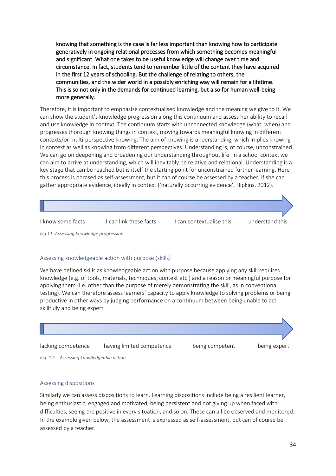knowing that something is the case is far less important than knowing how to participate generatively in ongoing relational processes from which something becomes meaningful and significant. What one takes to be useful knowledge will change over time and circumstance. In fact, students tend to remember little of the content they have acquired in the first 12 years of schooling. But the challenge of relating to others, the communities, and the wider world in a possibly enriching way will remain for a lifetime. This is so not only in the demands for continued learning, but also for human well-being more generally.

Therefore, it is important to emphasise contextualised knowledge and the meaning we give to it. We can show the student's knowledge progression along this continuum and assess her ability to recall and use knowledge in context. The continuum starts with unconnected knowledge (what, when) and progresses thorough knowing things in context, moving towards meaningful knowing in different contexts/or multi-perspective knowing. The aim of knowing is understanding, which implies knowing in context as well as knowing from different perspectives. Understanding is, of course, unconstrained. We can go on deepening and broadening our understanding throughout life. In a school context we can aim to arrive at understanding, which will inevitably be relative and relational. Understanding is a key stage that can be reached but is itself the starting point for unconstrained further learning. Here this process is phrased as self-assessment, but it can of course be assessed by a teacher, if she can gather appropriate evidence, ideally in context ('naturally occurring evidence', Hipkins, 2012).



*Fig 11: Assessing knowledge progression* 

#### Assessing knowledgeable action with purpose (skills)

We have defined skills as knowledgeable action with purpose because applying any skill requires knowledge (e.g. of tools, materials, techniques, context etc.) and a reason or meaningful purpose for applying them (i.e. other than the purpose of merely demonstrating the skill, as in conventional testing). We can therefore assess learners' capacity to apply knowledge to solving problems or being productive in other ways by judging performance on a continuum between being unable to act skillfully and being expert



*Fig. 12: Assessing knowledgeable action* 

#### Assessing dispositions

Similarly we can assess dispositions to learn. Learning dispositions include being a resilient learner, being enthusiastic, engaged and motivated, being persistent and not giving up when faced with difficulties, seeing the positive in every situation, and so on. These can all be observed and monitored. In the example given below, the assessment is expressed as self-assessment, but can of course be assessed by a teacher.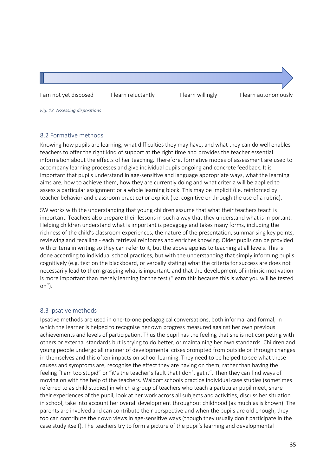I am not yet disposed I learn reluctantly I learn willingly I learn autonomously

*Fig. 13 Assessing dispositions*

# 8.2 Formative methods

Knowing how pupils are learning, what difficulties they may have, and what they can do well enables teachers to offer the right kind of support at the right time and provides the teacher essential information about the effects of her teaching. Therefore, formative modes of assessment are used to accompany learning processes and give individual pupils ongoing and concrete feedback. It is important that pupils understand in age-sensitive and language appropriate ways, what the learning aims are, how to achieve them, how they are currently doing and what criteria will be applied to assess a particular assignment or a whole learning block. This may be implicit (i.e. reinforced by teacher behavior and classroom practice) or explicit (i.e. cognitive or through the use of a rubric).

SW works with the understanding that young children assume that what their teachers teach is important. Teachers also prepare their lessons in such a way that they understand what is important. Helping children understand what is important is pedagogy and takes many forms, including the richness of the child's classroom experiences, the nature of the presentation, summarising key points, reviewing and recalling - each retrieval reinforces and enriches knowing. Older pupils can be provided with criteria in writing so they can refer to it, but the above applies to teaching at all levels. This is done according to individual school practices, but with the understanding that simply informing pupils cognitively (e.g. text on the blackboard, or verbally stating) what the criteria for success are does not necessarily lead to them grasping what is important, and that the development of intrinsic motivation is more important than merely learning for the test ("learn this because this is what you will be tested on").

# 8.3 Ipsative methods

Ipsative methods are used in one-to-one pedagogical conversations, both informal and formal, in which the learner is helped to recognise her own progress measured against her own previous achievements and levels of participation. Thus the pupil has the feeling that she is not competing with others or external standards but is trying to do better, or maintaining her own standards. Children and young people undergo all manner of developmental crises prompted from outside or through changes in themselves and this often impacts on school learning. They need to be helped to see what these causes and symptoms are, recognise the effect they are having on them, rather than having the feeling "I am too stupid" or "it's the teacher's fault that I don't get it". Then they can find ways of moving on with the help of the teachers. Waldorf schools practice individual case studies (sometimes referred to as child studies) in which a group of teachers who teach a particular pupil meet, share their experiences of the pupil, look at her work across all subjects and activities, discuss her situation in school, take into account her overall development throughout childhood (as much as is known). The parents are involved and can contribute their perspective and when the pupils are old enough, they too can contribute their own views in age-sensitive ways (though they usually don't participate in the case study itself). The teachers try to form a picture of the pupil's learning and developmental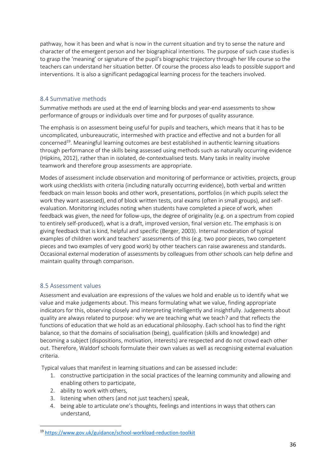pathway, how it has been and what is now in the current situation and try to sense the nature and character of the emergent person and her biographical intentions. The purpose of such case studies is to grasp the 'meaning' or signature of the pupil's biographic trajectory through her life course so the teachers can understand her situation better. Of course the process also leads to possible support and interventions. It is also a significant pedagogical learning process for the teachers involved.

# 8.4 Summative methods

Summative methods are used at the end of learning blocks and year-end assessments to show performance of groups or individuals over time and for purposes of quality assurance.

The emphasis is on assessment being useful for pupils and teachers, which means that it has to be uncomplicated, unbureaucratic, intermeshed with practice and effective and not a burden for all concerned<sup>19</sup>. Meaningful learning outcomes are best established in authentic learning situations through performance of the skills being assessed using methods such as naturally occurring evidence (Hipkins, 2012), rather than in isolated, de-contextualised tests. Many tasks in reality involve teamwork and therefore group assessments are appropriate.

Modes of assessment include observation and monitoring of performance or activities, projects, group work using checklists with criteria (including naturally occurring evidence), both verbal and written feedback on main lesson books and other work, presentations, portfolios (in which pupils select the work they want assessed), end of block written tests, oral exams (often in small groups), and selfevaluation. Monitoring includes noting when students have completed a piece of work, when feedback was given, the need for follow-ups, the degree of originality (e.g. on a spectrum from copied to entirely self-produced), what is a draft, improved version, final version etc. The emphasis is on giving feedback that is kind, helpful and specific (Berger, 2003). Internal moderation of typical examples of children work and teachers' assessments of this (e.g. two poor pieces, two competent pieces and two examples of very good work) by other teachers can raise awareness and standards. Occasional external moderation of assessments by colleagues from other schools can help define and maintain quality through comparison.

# 8.5 Assessment values

Assessment and evaluation are expressions of the values we hold and enable us to identify what we value and make judgements about. This means formulating what we value, finding appropriate indicators for this, observing closely and interpreting intelligently and insightfully. Judgements about quality are always related to purpose: why we are teaching what we teach? and that reflects the functions of education that we hold as an educational philosophy. Each school has to find the right balance, so that the domains of socialisation (being), qualification (skills and knowledge) and becoming a subject (dispositions, motivation, interests) are respected and do not crowd each other out. Therefore, Waldorf schools formulate their own values as well as recognising external evaluation criteria.

Typical values that manifest in learning situations and can be assessed include:

- 1. constructive participation in the social practices of the learning community and allowing and enabling others to participate,
- 2. ability to work with others,
- 3. listening when others (and not just teachers) speak,
- 4. being able to articulate one's thoughts, feelings and intentions in ways that others can understand,

<sup>19</sup> <https://www.gov.uk/guidance/school-workload-reduction-toolkit>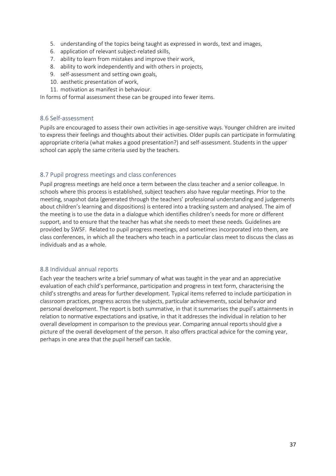- 5. understanding of the topics being taught as expressed in words, text and images,
- 6. application of relevant subject-related skills,
- 7. ability to learn from mistakes and improve their work,
- 8. ability to work independently and with others in projects,
- 9. self-assessment and setting own goals,
- 10. aesthetic presentation of work,
- 11. motivation as manifest in behaviour.

In forms of formal assessment these can be grouped into fewer items.

### 8.6 Self-assessment

Pupils are encouraged to assess their own activities in age-sensitive ways. Younger children are invited to express their feelings and thoughts about their activities. Older pupils can participate in formulating appropriate criteria (what makes a good presentation?) and self-assessment. Students in the upper school can apply the same criteria used by the teachers.

### 8.7 Pupil progress meetings and class conferences

Pupil progress meetings are held once a term between the class teacher and a senior colleague. In schools where this process is established, subject teachers also have regular meetings. Prior to the meeting, snapshot data (generated through the teachers' professional understanding and judgements about children's learning and dispositions) is entered into a tracking system and analysed. The aim of the meeting is to use the data in a dialogue which identifies children's needs for more or different support, and to ensure that the teacher has what she needs to meet these needs. Guidelines are provided by SWSF. Related to pupil progress meetings, and sometimes incorporated into them, are class conferences, in which all the teachers who teach in a particular class meet to discuss the class as individuals and as a whole.

### 8.8 Individual annual reports

Each year the teachers write a brief summary of what was taught in the year and an appreciative evaluation of each child's performance, participation and progress in text form, characterising the child's strengths and areas for further development. Typical items referred to include participation in classroom practices, progress across the subjects, particular achievements, social behavior and personal development. The report is both summative, in that it summarises the pupil's attainments in relation to normative expectations and ipsative, in that it addresses the individual in relation to her overall development in comparison to the previous year. Comparing annual reports should give a picture of the overall development of the person. It also offers practical advice for the coming year, perhaps in one area that the pupil herself can tackle.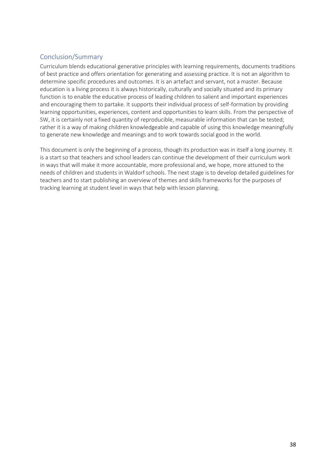# Conclusion/Summary

Curriculum blends educational generative principles with learning requirements, documents traditions of best practice and offers orientation for generating and assessing practice. It is not an algorithm to determine specific procedures and outcomes. It is an artefact and servant, not a master. Because education is a living process it is always historically, culturally and socially situated and its primary function is to enable the educative process of leading children to salient and important experiences and encouraging them to partake. It supports their individual process of self-formation by providing learning opportunities, experiences, content and opportunities to learn skills. From the perspective of SW, it is certainly not a fixed quantity of reproducible, measurable information that can be tested; rather it is a way of making children knowledgeable and capable of using this knowledge meaningfully to generate new knowledge and meanings and to work towards social good in the world.

This document is only the beginning of a process, though its production was in itself a long journey. It is a start so that teachers and school leaders can continue the development of their curriculum work in ways that will make it more accountable, more professional and, we hope, more attuned to the needs of children and students in Waldorf schools. The next stage is to develop detailed guidelines for teachers and to start publishing an overview of themes and skills frameworks for the purposes of tracking learning at student level in ways that help with lesson planning.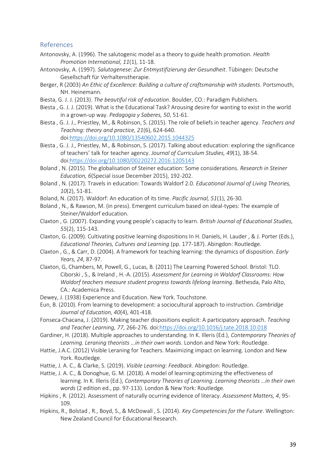### References

- Antonovsky, A. (1996). The salutogenic model as a theory to guide health promotion. *Health Promotion International, 11*(1), 11-18.
- Antonovsky, A. (1997). *Salutogenese: Zur Entmystifizierung der Gesundheit*. Tübingen: Deutsche Gesellschaft für Verhaltenstherapie.
- Berger, R (2003) *An Ethic of Excellence: Building a culture of craftsmanship with students*. Portsmouth, NH. Heinemann.
- Biesta, G. J. J. (2013). *The beautiful risk of education*. Boulder, CO.: Paradigm Publishers.
- Biesta , G. J. J. (2019). What is the Educational Task? Arousing desire for wanting to exist in the world in a grown-up way. *Pedagogia y Saberes, 50*, 51-61.
- Biesta , G. J. J., Priestley, M., & Robinson, S. (2015). The role of beliefs in teacher agency. *Teachers and Teaching: theory and practice, 21*(6), 624-640. doi[:https://doi.org/10.1080/13540602.2015.1044325](https://doi.org/10.1080/13540602.2015.1044325)
- Biesta , G. J. J., Priestley, M., & Robinson, S. (2017). Talking about education: exploring the significance of teachers' talk for teacher agency. *Journal of Curriculum Studies, 49*(1), 38-54. doi[:https://doi.org/10.1080/00220272.2016.1205143](https://doi.org/10.1080/00220272.2016.1205143)
- Boland , N. (2015). The globalisation of Steiner education: Some considerations. *Research in Steiner Education, 6*(Special issue December 2015), 192-202.
- Boland , N. (2017). Travels in education: Towards Waldorf 2.0. *Educational Journal of Living Theories, 10*(2), 51-81.
- Boland, N. (2017). Waldorf: An education of its time. *Pacific Journal, 51*(1), 26-30.
- Boland , N., & Rawson, M. (in press). Emergent curriculum based on ideal-types: The example of Steiner/Waldorf education.
- Claxton , G. (2007). Expanding young people's capacity to learn. *British Journal of Educational Studies, 55*(2), 115-143.
- Claxton, G. (2009). Cultivating positive learning dispositions In H. Daniels, H. Lauder , & J. Porter (Eds.), *Educational Theories, Cultures and Learning* (pp. 177-187). Abingdon: Routledge.
- Claxton , G., & Carr, D. (2004). A framework for teaching learning: the dynamics of disposition. *Early Years, 24*, 87-97.
- Claxton, G, Chambers, M, Powell, G., Lucas, B. (2011) The Learning Powered School. Bristol: TLO. Ciborski , S., & Ireland , H.-A. (2015). *Assessment for Learning in Waldorf Classrooms: How Waldorf teachers measure student progress towards lifelong learning*. Bethesda, Palo Alto, CA.: Academica Press.
- Dewey, J. (1938) Experience and Education. New York. Touchstone.
- Eun, B. (2010). From learning to development: a sociocultural approach to instruction. *Cambridge Journal of Education, 40*(4), 401-418.
- Fonseca-Chacana, J. (2019). Making teacher dispositions explicit: A participatory approach. *Teaching and Teacher Learning, 77*, 266-276. doi[:https://doi.org/10.1016/j.tate.2018.10.018](https://doi.org/10.1016/j.tate.2018.10.018)
- Gardiner, H. (2018). Multiple approaches to understanding. In K. Illeris (Ed.), *Contemporary Theories of Learning. Leraning theorists …in their own words*. London and New York: Routledge.
- Hattie, J.A.C. (2012) Visible Leraning for Teachers. Maximizing impact on learning. London and New York. Routledge.
- Hattie, J. A. C., & Clarke, S. (2019). *Visible Learning: Feedback*. Abingdon: Routledge.
- Hattie, J. A. C., & Donoghue, G. M. (2018). A model of learning:optimizing the effectiveness of learning. In K. Illeris (Ed.), *Contemporary Theories of Learning. Learning theorists …in their own words* (2 edition ed., pp. 97-113). London & New York: Routledge.
- Hipkins , R. (2012). Assessment of naturally ocurring evidence of literacy. *Assessment Matters, 4*, 95- 109.
- Hipkins, R., Bolstad , R., Boyd, S., & McDowall , S. (2014). *Key Competencies for the Future*. Wellington: New Zealand Council for Educational Research.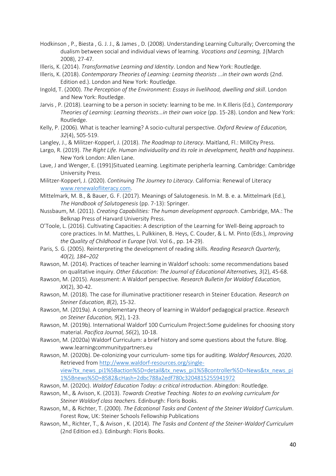- Hodkinson , P., Biesta , G. J. J., & James , D. (2008). Understanding Learning Culturally; Overcoming the dualism between social and individual views of learning. *Vocations and Learning, 1*(March 2008), 27-47.
- Illeris, K. (2014). *Transformative Learning and Identity*. London and New York: Routledge.
- Illeris, K. (2018). *Contemporary Theories of Learning: Learning theorists ...in their own words* (2nd. Edition ed.). London and New York: Routledge.
- Ingold, T. (2000). *The Perception of the Environment: Essays in livelihood, dwelling and skill*. London and New York: Routledge.
- Jarvis , P. (2018). Learning to be a person in society: learning to be me. In K.Illeris (Ed.), *Contemporary Theories of Learning: Learning theorists...in their own voice* (pp. 15-28). London and New York: Routledge.
- Kelly, P. (2006). What is teacher learning? A socio-cultural perspective. *Oxford Review of Education, 32*(4), 505-519.
- Langley, J., & Militzer-Kopperl, J. (2018). *The Roadmap to Literacy*. Maitland, Fl.: MillCity Press.
- Largo, R. (2019). *The Right Life. Human individuality and its role in development, health and happiness*. New York London: Allen Lane.
- Lave, J and Wenger, E. (1991)Situated Learning. Legitimate peripherla learning. Cambridge: Cambridge University Press.
- Militzer-Kopperl, J. (2020). *Continuing The Journey to Literacy*. California: Renewal of Literacy [www.renewalofliteracy.com.](file:///C:/Users/kath/Downloads/www.renewalofliteracy.com)
- Mittelmark, M. B., & Bauer, G. F. (2017). Meanings of Salutogenesis. In M. B. e. a. Mittelmark (Ed.), *The Handbook of Salutogenesis* (pp. 7-13): Springer.
- Nussbaum, M. (2011). *Creating Capabilities: The human development approach*. Cambridge, MA.: The Belknap Press of Harvard University Press.
- O'Toole, L. (2016). Cultivating Capacities: A description of the Learning for Well-Being approach to core practices. In M. Matthes, L. Pulkkinen, B. Heys, C. Couder, & L. M. Pinto (Eds.), *Improving the Quality of Childhood in Europe* (Vol. Vol 6., pp. 14-29).
- Paris, S. G. (2005). Reinterpreting the development of reading skills. *Reading Research Quarterly, 40(2), 184–202*
- Rawson, M. (2014). Practices of teacher learning in Waldorf schools: some recommendations based on qualitative inquiry. *Other Education: The Journal of Educational Alternatives, 3*(2), 45-68.
- Rawson, M. (2015). Assessment: A Waldorf perspective. *Research Bulletin for Waldorf Education, XX*(2), 30-42.
- Rawson, M. (2018). The case for illuminative practitioner research in Steiner Education. *Research on Steiner Education, 8*(2), 15-32.
- Rawson, M. (2019a). A complementary theory of learning in Waldorf pedagogical practice. *Research on Steiner Education, 9*(2), 1-23.
- Rawson, M. (2019b). International Waldorf 100 Curriculum Project:Some guidelines for choosing story material. *Pacifica Journal, 56*(2), 10-18.
- Rawson, M. (2020a) Waldorf Curriculum: a brief history and some questions about the future. Blog. www.learningcommunitypartners.eu
- Rawson, M. (2020b). De-colonizing your curriculum- some tips for auditing. *Waldorf Resources, 2020*. Retrieved from [http://www.waldorf-resources.org/single](http://www.waldorf-resources.org/single-view?tx_news_pi1%5Baction%5D=detail&tx_news_pi1%5Bcontroller%5D=News&tx_news_pi1%5Bnews%5D=8582&cHash=2dbc788a2edf780c3204815255941972)[view?tx\\_news\\_pi1%5Baction%5D=detail&tx\\_news\\_pi1%5Bcontroller%5D=News&tx\\_news\\_pi](http://www.waldorf-resources.org/single-view?tx_news_pi1%5Baction%5D=detail&tx_news_pi1%5Bcontroller%5D=News&tx_news_pi1%5Bnews%5D=8582&cHash=2dbc788a2edf780c3204815255941972) [1%5Bnews%5D=8582&cHash=2dbc788a2edf780c3204815255941972](http://www.waldorf-resources.org/single-view?tx_news_pi1%5Baction%5D=detail&tx_news_pi1%5Bcontroller%5D=News&tx_news_pi1%5Bnews%5D=8582&cHash=2dbc788a2edf780c3204815255941972)
- Rawson, M. (2020c). *Waldorf Education Today: a critical introduction*. Abingdon: Routledge.
- Rawson, M., & Avison, K. (2013). *Towards Creative Teaching. Notes to an evolving curriculum for Steiner Waldorf class teachers*. Edinburgh: Floris Books.
- Rawson, M., & Richter, T. (2000). *The Edcational Tasks and Content of the Steiner Waldorf Curriculum*. Forest Row, UK: Steiner Schools Fellowship Publications
- Rawson, M., Richter, T., & Avison , K. (2014). *The Tasks and Content of the Steiner-Waldorf Curriculum* (2nd Edition ed.). Edinburgh: Floris Books.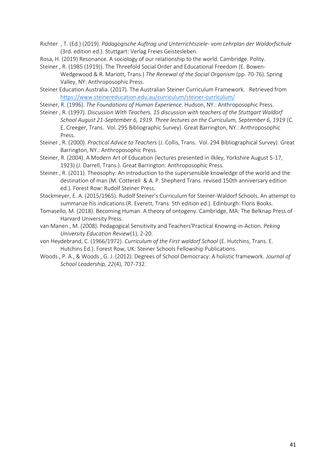- Richter , T. (Ed.) (2019). *Pädagogische Auftrag und Unterrichtsziele- vom Lehrplan der Waldorfschule* (3rd. edition ed.). Stuttgart: Verlag Freies Geistesleben.
- Rosa, H. (2019) Resonance. A sociology of our relationship to the world. Cambridge. Polity.
- Steiner , R. (1985 (1919)). The Threefold Social Order and Educational Freedom (E. Bowen-Wedgewood & R. Mariott, Trans.) *The Renewal of the Social Organism* (pp. 70-76). Spring Valley, NY: Anthroposophic Press.
- Steiner Education Australia. (2017). The Australian Steiner Curriculum Framework. Retrieved from <https://www.steinereducation.edu.au/curriculum/steiner-curriculum/>
- Steiner, R. (1996). *The Foundations of Human Experience*. Hudson, NY.: Anthroposophic Press.
- Steiner , R. (1997). *Discussion With Teachers. 15 discussion with teachers of the Stuttgart Waldorf School August 21-September 6, 1919. Three lectures on the Curriculum, September 6, 1919* (C. E. Creeger, Trans. Vol. 295 Bibliographic Survey). Great Barrington, NY.: Anthroposophic Press.
- Steiner , R. (2000). *Practical Advice to Teachers* (J. Collis, Trans. Vol. 294 Bibliographical Survey). Great Barrington, NY.: Anthroposophic Press.
- Steiner, R. (2004). A Modern Art of Education (lectures presented in Ilkley, Yorkshire August 5-17, 1923) (J. Darrell, Trans.). Great Barrington: Anthroposophic Press.
- Steiner , R. (2011). Theosophy: An introduction to the supersensible knowledge of the world and the destination of man (M. Cotterell & A. P. Shepherd Trans. revised 150th anniversary edition ed.). Forest Row: Rudolf Steiner Press.
- Stockmeyer, E. A. (2015/1965). Rudolf Steiner's Curriculum for Steiner-Waldorf Schools. An attempt to summarize his indications (R. Everett, Trans. 5th edition ed.). Edinburgh: Floris Books.
- Tomasello, M. (2018). Becoming Human. A theory of ontogeny. Cambridge, MA: The Belknap Press of Harvard University Press.
- van Manen , M. (2008). Pedagogical Sensitivity and Teachers'Practical Knowing-in-Action. *Peking University Education Review*(1), 2-20.
- von Heydebrand, C. (1966/1972). *Curriculum of the First waldorf School* (E. Hutchins, Trans. E. Hutchins Ed.). Forest Row, UK: Steiner Schools Fellowship Publications.
- Woods , P. A., & Woods , G. J. (2012). Degrees of School Democracy: A holistic framework. *Journal of School Leadership, 22*(4), 707-732.